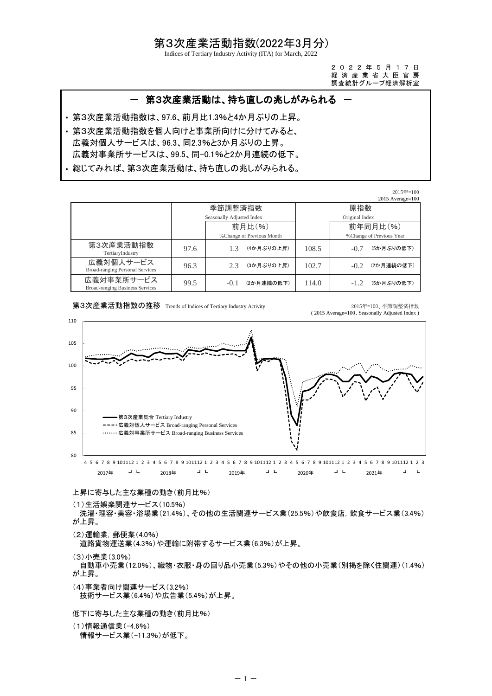### 第3次産業活動指数(2022年3月分)

Indices of Tertiary Industry Activity (ITA) for March, 2022

2 0 2 2 年 5 月 1 7 日 -<br>経 済 産 業 省 大 臣 官 房 調査統計グループ経済解析室

# ・ 第3次産業活動指数は、97.6、前月比1.3%と4か月ぶりの上昇。 ・ 第3次産業活動指数を個人向けと事業所向けに分けてみると、 ・ 総じてみれば、第3次産業活動は、持ち直しの兆しがみられる。 ー 第3次産業活動は、持ち直しの兆しがみられる 広義対個人サービスは、96.3、同2.3%と3か月ぶりの上昇。 広義対事業所サービスは、99.5、同-0.1%と2か月連続の低下。

|                                                      |      |                           |                            |       |                           | 2015年=100 |
|------------------------------------------------------|------|---------------------------|----------------------------|-------|---------------------------|-----------|
|                                                      |      |                           |                            |       | $2015$ Average= $100$     |           |
|                                                      |      | 季節調整済指数                   |                            |       | 原指数                       |           |
|                                                      |      | Seasonally Adjusted Index |                            |       | Original Index            |           |
|                                                      |      |                           | 前月比(%)                     |       | 前年同月比(%)                  |           |
|                                                      |      |                           | % Change of Previous Month |       | % Change of Previous Year |           |
| 第3次産業活動指数<br>TertiaryIndustry                        | 97.6 | 1.3                       | (4か月ぶりの上昇)                 | 108.5 | (5か月ぶりの低下)<br>$-0.7$      |           |
| 広義対個人サービス<br>Broad-ranging Personal Services         | 96.3 | 2.3                       | (3か月ぶりの上昇)                 | 102.7 | (2か月連続の低下)<br>$-0.2$      |           |
| 広義対事業所サービス<br><b>Broad-ranging Business Services</b> | 99.5 | $-0.1$                    | (2か月連続の低下)                 | 114.0 | (5か月ぶりの低下)                |           |

第3次産業活動指数の推移 Trends of Indices of Tertiary Industry Activity 2015年=100、季節調整済指数

( 2015 Average=100、Seasonally Adjusted Index )



### 上昇に寄与した主な業種の動き(前月比%)

(1)生活娯楽関連サービス(10.5%)

 洗濯・理容・美容・浴場業(21.4%)、その他の生活関連サービス業(25.5%)や飲食店,飲食サービス業(3.4%) が上昇。

(2)運輸業,郵便業(4.0%)

道路貨物運送業(4.3%)や運輸に附帯するサービス業(6.3%)が上昇。

(3)小売業(3.0%)

 自動車小売業(12.0%)、織物・衣服・身の回り品小売業(5.3%)やその他の小売業(別掲を除く住関連)(1.4%) が上昇。

(4)事業者向け関連サービス(3.2%) 技術サービス業(6.4%)や広告業(5.4%)が上昇。

低下に寄与した主な業種の動き(前月比%)

(1)情報通信業(-4.6%)

情報サービス業(-11.3%)が低下。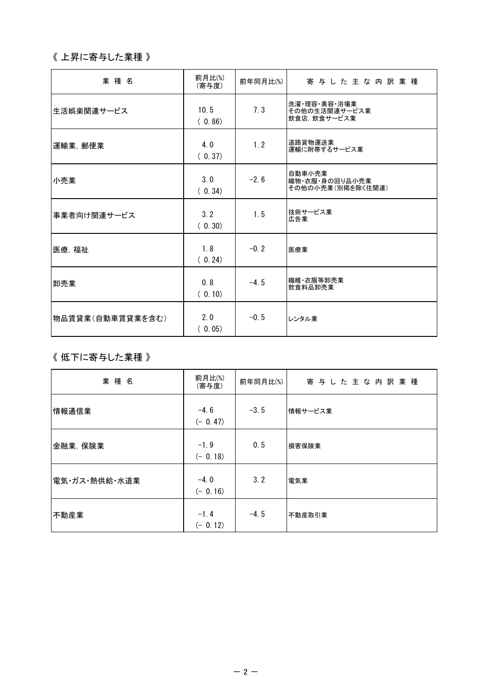# 《 上昇に寄与した業種 》

| 業種名              | 前月比(%)<br>(寄与度) | 前年同月比(%) | 寄与した主な内訳業種                                    |
|------------------|-----------------|----------|-----------------------------------------------|
| 生活娯楽関連サービス       | 10.5<br>(0.86)  | 7.3      | 洗濯 理容 美容 浴場業<br>その他の生活関連サービス業<br>飲食店、飲食サービス業  |
| 運輸業, 郵便業         | 4.0<br>(0.37)   | 1.2      | 道路貨物運送業<br>運輸に附帯するサービス業                       |
| 小売業              | 3.0<br>(0.34)   | $-2.6$   | 自動車小売業<br>織物・衣服・身の回り品小売業<br>その他の小売業(別掲を除く住関連) |
| 事業者向け関連サービス      | 3.2<br>(0.30)   | 1.5      | 技術サービス業<br>広告業                                |
| 医療, 福祉           | 1.8<br>(0.24)   | $-0.2$   | 医療業                                           |
| 卸売業              | 0.8<br>(0.10)   | $-4.5$   | 繊維·衣服等卸売業<br>飲食料品卸売業                          |
| 物品賃貸業(自動車賃貸業を含む) | 2.0<br>(0.05)   | $-0.5$   | レンタル業                                         |

## 《 低下に寄与した業種 》

| 業種名           | 前月比(%)<br>(寄与度)     | 前年同月比(%) | 寄与した主な内訳業種 |
|---------------|---------------------|----------|------------|
| 情報通信業         | $-4.6$<br>$(-0.47)$ | $-3.5$   | 情報サービス業    |
| 金融業, 保険業      | $-1.9$<br>$(-0.18)$ | 0.5      | 損害保険業      |
| 電気・ガス・熱供給・水道業 | $-4.0$<br>$(-0.16)$ | 3.2      | 電気業        |
| 不動産業          | $-1.4$<br>$(-0.12)$ | $-4.5$   | 不動産取引業     |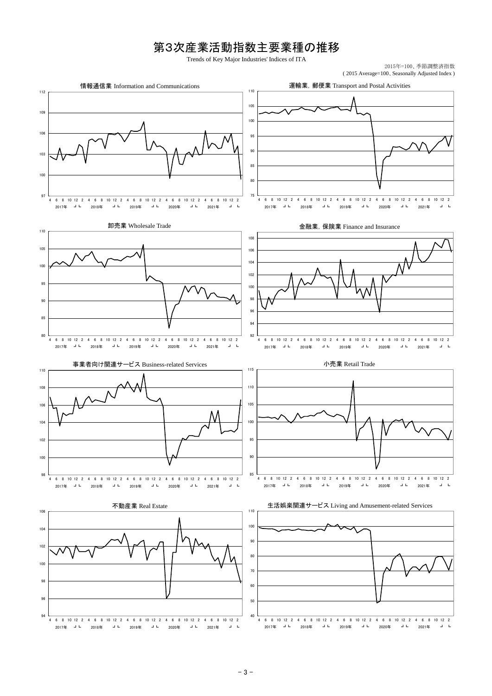# 第3次産業活動指数主要業種の推移

Trends of Key Major Industries' Indices of ITA

2015年=100、季節調整済指数 ( 2015 Average=100、Seasonally Adjusted Index )

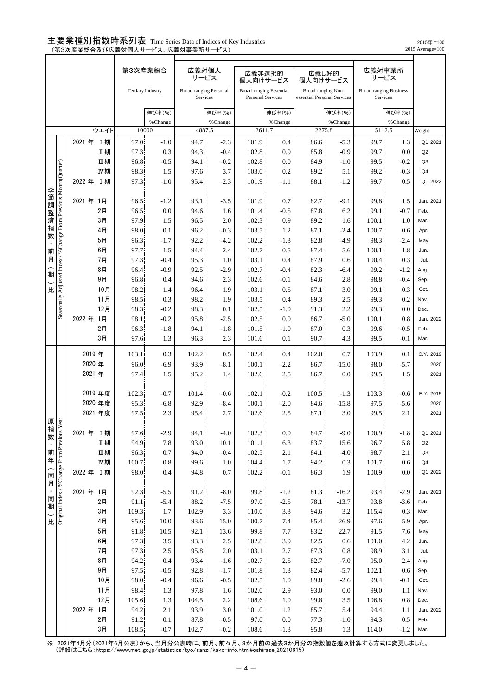### 主要業種別指数時系列表 Time Series Data of Indices of Key Industries — シンパ ニップロジャ プバン・シー コーラブル コード コード コード<br>(第3次産業総合及び広義対個人サービス、広義対事業所サービス)

2015 Average=100 2015年 =100

|                |                                                                   |                |            | 第3次産業総合                  |                  | 広義対個人<br>サービス                             |                  | 広義非選択的<br>個人向けサービス                                  |               | 広義し好的        | 個人向けサービス                                          | 広義対事業所                        | サービス          |                |
|----------------|-------------------------------------------------------------------|----------------|------------|--------------------------|------------------|-------------------------------------------|------------------|-----------------------------------------------------|---------------|--------------|---------------------------------------------------|-------------------------------|---------------|----------------|
|                |                                                                   |                |            | <b>Tertiary Industry</b> |                  | <b>Broad-ranging Personal</b><br>Services |                  | <b>Broad-ranging Essential</b><br>Personal Services |               |              | Broad-ranging Non-<br>essential Personal Services | <b>Broad-ranging Business</b> | Services      |                |
|                |                                                                   |                |            |                          | 伸び率(%)           |                                           | 伸び率(%)           |                                                     | 伸び率(%)        |              | 伸び率(%)                                            |                               | 伸び率(%)        |                |
|                |                                                                   |                |            |                          | %Change          |                                           | %Change          |                                                     | %Change       |              | %Change                                           |                               | %Change       |                |
|                |                                                                   |                | ウエイト       | 10000                    |                  |                                           | 4887.5           |                                                     | 2611.7        |              | 2275.8                                            |                               | 5112.5        | Weight         |
|                |                                                                   | 2021 年 I 期     |            | 97.0                     | $-1.0$           | 94.7                                      | $-2.3$           | 101.9                                               | 0.4           | 86.6         | $-5.3$                                            | 99.7                          | 1.3           | Q1 2021        |
|                |                                                                   |                | Ⅱ期         | 97.3                     | 0.3              | 94.3                                      | $-0.4$           | 102.8                                               | 0.9           | 85.8         | $-0.9$                                            | 99.7                          | 0.0           | Q2             |
|                |                                                                   |                | Ⅲ期         | 96.8                     | $-0.5$           | 94.1                                      | $-0.2$           | 102.8                                               | 0.0           | 84.9         | $-1.0$                                            | 99.5                          | $-0.2$        | Q <sub>3</sub> |
|                |                                                                   |                | IV期        | 98.3                     | 1.5              | 97.6                                      | 3.7              | 103.0                                               | 0.2           | 89.2         | 5.1                                               | 99.2                          | $-0.3$        | Q <sub>4</sub> |
|                |                                                                   | 2022年          | <b>I 期</b> | 97.3                     | $-1.0$           | 95.4                                      | $-2.3$           | 101.9                                               | $-1.1$        | 88.1         | $-1.2$                                            | 99.7                          | 0.5           | Q1 2022        |
| 季節             | Seasonally Adjusted Index / % Change From Previous Month(Quarter) |                |            |                          |                  |                                           |                  |                                                     |               |              |                                                   |                               |               |                |
| 調              |                                                                   | 2021年 1月       |            | 96.5                     | $-1.2$           | 93.1                                      | $-3.5$           | 101.9                                               | 0.7           | 82.7         | -9.1                                              | 99.8                          | 1.5           | Jan. 2021      |
| 整              |                                                                   | 2月             |            | 96.5                     | 0.0              | 94.6                                      | 1.6              | 101.4                                               | $-0.5$        | 87.8         | 6.2                                               | 99.1                          | $-0.7$        | Feb.           |
| 済指             |                                                                   | 3月             |            | 97.9                     | 1.5              | 96.5                                      | 2.0              | 102.3                                               | 0.9           | 89.2         | 1.6                                               | 100.1                         | 1.0           | Mar.           |
| 数              |                                                                   | 4月<br>5月       |            | 98.0                     | 0.1              | 96.2                                      | $-0.3$           | 103.5                                               | 1.2           | 87.1         | $-2.4$                                            | 100.7                         | 0.6           | Apr.           |
|                |                                                                   | 6月             |            | 96.3<br>97.7             | $-1.7$<br>1.5    | 92.2<br>94.4                              | $-4.2$<br>2.4    | 102.2<br>102.7                                      | $-1.3$<br>0.5 | 82.8<br>87.4 | -4.9                                              | 98.3<br>100.1                 | -2.4<br>1.8   | May<br>Jun.    |
| 前<br>月         |                                                                   | 7月             |            | 97.3                     | $-0.4$           | 95.3                                      | 1.0              | 103.1                                               | 0.4           | 87.9         | 5.6<br>0.6                                        | 100.4                         | 0.3           | Jul.           |
|                |                                                                   | 8月             |            | 96.4                     | $-0.9$           | 92.5                                      | $-2.9$           | 102.7                                               | $-0.4$        | 82.3         | $-6.4$                                            | 99.2                          | $-1.2$        | Aug.           |
| 期              |                                                                   | 9月             |            | 96.8                     | 0.4              | 94.6                                      | 2.3              | 102.6                                               | $-0.1$        | 84.6         | 2.8                                               | 98.8                          | -0.4          | Sep.           |
| 比              |                                                                   |                | 10月        | 98.2                     | 1.4              | 96.4                                      | 1.9              | 103.1                                               | 0.5           | 87.1         | 3.0                                               | 99.1                          | 0.3           | Oct.           |
|                |                                                                   |                | 11月        | 98.5                     | 0.3              | 98.2                                      | 1.9              | 103.5                                               | 0.4           | 89.3         | 2.5                                               | 99.3                          | 0.2           | Nov.           |
|                |                                                                   |                | 12月        | 98.3                     | $-0.2$           | 98.3                                      | 0.1              | 102.5                                               | $-1.0$        | 91.3         | 2.2                                               | 99.3                          | 0.0           | Dec.           |
|                |                                                                   | 2022 年<br>1月   |            | 98.1                     | $-0.2$           | 95.8                                      | $-2.5$           | 102.5                                               | 0.0           | 86.7         | $-5.0$                                            | 100.1                         | 0.8           | Jan. 2022      |
|                |                                                                   | 2月             |            | 96.3                     | $-1.8$           | 94.1                                      | $-1.8$           | 101.5                                               | $-1.0$        | 87.0         | 0.3                                               | 99.6                          | $-0.5$        | Feb.           |
|                |                                                                   | 3月             |            | 97.6                     | 1.3              | 96.3                                      | 2.3              | 101.6                                               | 0.1           | 90.7         | 4.3                                               | 99.5                          | $-0.1$        | Mar.           |
|                |                                                                   | 2019 年         |            | 103.1                    | 0.3              | 102.2                                     | 0.5              | 102.4                                               | 0.4           | 102.0        | 0.7                                               | 103.9                         | 0.1           | C.Y. 2019      |
|                |                                                                   | 2020 年         |            | 96.0                     | $-6.9$           | 93.9                                      | $-8.1$           | 100.1                                               | $-2.2$        | 86.7         | $-15.0$                                           | 98.0                          | $-5.7$        | 2020           |
|                |                                                                   | 2021 年         |            | 97.4                     | 1.5              | 95.2                                      | 1.4              | 102.6                                               | 2.5           | 86.7         | 0.0                                               | 99.5                          | 1.5           | 2021           |
|                |                                                                   |                |            |                          |                  |                                           |                  |                                                     |               |              |                                                   |                               |               |                |
|                |                                                                   | 2019 年度        |            | 102.3                    | $-0.7$           | 101.4                                     | $-0.6$           | 102.1                                               | $-0.2$        | 100.5        | $-1.3$                                            | 103.3                         | $-0.6$        | F.Y. 2019      |
|                |                                                                   | 2020 年度        |            | 95.3                     | $-6.8$           | 92.9                                      | $-8.4$           | 100.1                                               | $-2.0$        | 84.6         | $-15.8$                                           | 97.5                          | $-5.6$        | 2020           |
| 原              | ear                                                               | 2021 年度        |            | 97.5                     | 2.3              | 95.4                                      | 2.7              | 102.6                                               | 2.5           | 87.1         | 3.0                                               | 99.5                          | 2.1           | 2021           |
|                |                                                                   |                |            | 97.6                     | $-2.9$           |                                           | $-4.0$           |                                                     | 0.0           |              | $-9.0$                                            | 100.9                         |               | Q1 2021        |
| 指数             |                                                                   | 2021 年 I 期     | Ⅱ期         | 94.9                     | 7.8              | 94.1<br>93.0                              | 10.1             | 102.3<br>101.1                                      | 6.3           | 84.7<br>83.7 | 15.6                                              | 96.7                          | $-1.8$<br>5.8 | Q2             |
| $\blacksquare$ |                                                                   |                | Ⅲ期         | 96.3                     | 0.7              | 94.0                                      | $-0.4$           | 102.5                                               | 2.1           | 84.1         | $-4.0$                                            | 98.7                          | 2.1           | Q3             |
| 前年             |                                                                   |                | IV期        | 100.7                    | 0.8              | 99.6                                      | 1.0              | 104.4                                               | 1.7           | 94.2         | 0.3                                               | 101.7                         | 0.6           | Q <sub>4</sub> |
|                |                                                                   | 2022 年 I 期     |            | 98.0                     | 0.4              | 94.8                                      | 0.7              | 102.2                                               | $-0.1$        | 86.3         | 1.9                                               | 100.9                         | 0.0           | Q1 2022        |
| 同<br>月         | Original Index / %Change From Previous Y                          |                |            |                          |                  |                                           |                  |                                                     |               |              |                                                   |                               |               |                |
| $\blacksquare$ |                                                                   | 2021年 1月       |            | 92.3                     | $-5.5$           | 91.2                                      | $-8.0$           | 99.8                                                | $-1.2$        | 81.3         | $-16.2$                                           | 93.4                          | $-2.9$        | Jan. 2021      |
| 同期             |                                                                   | 2月             |            | 91.1                     | $-5.4$           | 88.2                                      | $-7.5$           | 97.0                                                | $-2.5$        | 78.1         | $-13.7$                                           | 93.8                          | $-3.6$        | Feb.           |
|                |                                                                   | 3月             |            | 109.3                    | 1.7              | 102.9                                     | 3.3              | 110.0                                               | 3.3           | 94.6         | 3.2                                               | 115.4                         | 0.3           | Mar.           |
| 比              |                                                                   | 4月             |            | 95.6                     | 10.0             | 93.6                                      | 15.0             | 100.7                                               | 7.4           | 85.4         | 26.9                                              | 97.6                          | 5.9           | Apr.           |
|                |                                                                   | 5 <sub>月</sub> |            | 91.8                     | 10.5             | 92.1                                      | 13.6             | 99.8                                                | 7.7           | 83.2         | 22.7                                              | 91.5                          | 7.6           | May            |
|                |                                                                   | 6月             |            | 97.3                     | 3.5              | 93.3                                      | 2.5              | 102.8                                               | 3.9           | 82.5         | 0.6                                               | 101.0                         | 4.2           | Jun.           |
|                |                                                                   | 7月             |            | 97.3                     | 2.5              | 95.8                                      | 2.0              | 103.1                                               | 2.7           | 87.3         | 0.8                                               | 98.9                          | 3.1           | Jul.           |
|                |                                                                   | 8 <sub>月</sub> |            | 94.2                     | 0.4              | 93.4                                      | $-1.6$           | 102.7                                               | 2.5           | 82.7         | -7.0                                              | 95.0                          | 2.4           | Aug.           |
|                |                                                                   | 9月             | 10月        | 97.5<br>98.0             | $-0.5$<br>$-0.4$ | 92.8<br>96.6                              | $-1.7$<br>$-0.5$ | 101.8<br>102.5                                      | 1.3<br>1.0    | 82.4<br>89.8 | $-5.7$<br>$-2.6$                                  | 102.1<br>99.4                 | 0.6<br>$-0.1$ | Sep.<br>Oct.   |
|                |                                                                   |                | 11月        | 98.4                     | 1.3              | 97.8                                      | 1.6              | 102.0                                               | 2.9           | 93.0         | 0.0                                               | 99.0                          | 1.1           | Nov.           |
|                |                                                                   |                | 12月        | 105.6                    | 1.3              | 104.5                                     | 2.2              | 108.6                                               | 1.0           | 99.8         | 3.5                                               | 106.8                         | 0.8           | Dec.           |
|                |                                                                   | 2022年 1月       |            | 94.2                     | 2.1              | 93.9                                      | 3.0              | 101.0                                               | 1.2           | 85.7         | 5.4                                               | 94.4                          | 1.1           | Jan. 2022      |
|                |                                                                   | 2月             |            | 91.2                     | $0.1\,$          | 87.8                                      | $-0.5$           | 97.0                                                | 0.0           | 77.3         | $-1.0$                                            | 94.3                          | 0.5           | Feb.           |
|                |                                                                   |                | 3月         | 108.5                    | $-0.7$           | 102.7                                     | $-0.2$           | $108.6\,$                                           | $-1.3$        | 95.8         | 1.3                                               | 114.0                         | $-1.2$        | Mar.           |

※ 2021年4月分(2021年6月公表)から、当月分公表時に、前月、前々月、3か月前の過去3か月分の指数値を遡及計算する方式に変更しました。 (詳細はこちら:https://www.meti.go.jp/statistics/tyo/sanzi/kako-info.html#oshirase\_20210615)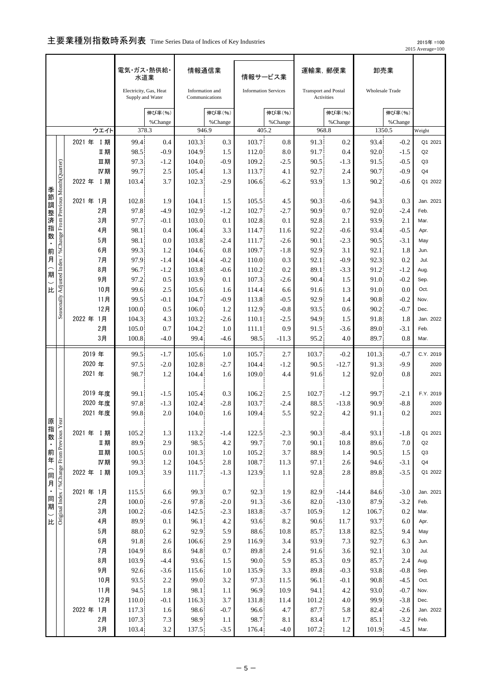## 主要業種別指数時系列表 Time Series Data of Indices of Key Industries

 2015年 =100 2015 Average=100

|      |                                                                   |                  |                | 電気・ガス・熱供給・<br>水道業                          |                   |                | 情報通信業                             |                | 情報サービス業                     |               | 運輸業, 郵便業                                  | 卸売業           |                        |                   |
|------|-------------------------------------------------------------------|------------------|----------------|--------------------------------------------|-------------------|----------------|-----------------------------------|----------------|-----------------------------|---------------|-------------------------------------------|---------------|------------------------|-------------------|
|      |                                                                   |                  |                | Electricity, Gas, Heat<br>Supply and Water |                   |                | Information and<br>Communications |                | <b>Information Services</b> |               | <b>Transport and Postal</b><br>Activities |               | <b>Wholesale Trade</b> |                   |
|      |                                                                   |                  |                |                                            | 伸び率(%)<br>%Change |                | 伸び率(%)<br>%Change                 |                | 伸び率(%)<br>%Change           |               | 伸び率(%)<br>%Change                         |               | 伸び率(%)<br>%Change      |                   |
|      |                                                                   |                  | ウエイト           | 378.3                                      |                   |                | 946.9                             |                | 405.2                       |               | 968.8                                     |               | 1350.5                 | Weight            |
|      |                                                                   | 2021 年 I 期       |                | 99.4                                       | 0.4               | 103.3          | 0.3                               | 103.7          | 0.8                         | 91.3          | 0.2                                       | 93.4          | $-0.2$                 | Q1 2021           |
|      |                                                                   |                  | Ⅱ期             | 98.5                                       | $-0.9$            | 104.9          | 1.5                               | 112.0          | 8.0                         | 91.7          | 0.4                                       | 92.0          | $-1.5$                 | Q2                |
|      |                                                                   |                  | 皿期             | 97.3                                       | $-1.2$            | 104.0          | $-0.9$                            | 109.2          | $-2.5$                      | 90.5          | $-1.3$                                    | 91.5          | $-0.5$                 | Q <sub>3</sub>    |
|      |                                                                   |                  | Ⅳ期             | 99.7                                       | 2.5               | 105.4          | 1.3                               | 113.7          | 4.1                         | 92.7          | 2.4                                       | 90.7          | -0.9                   | Q <sub>4</sub>    |
|      |                                                                   | 2022 年           | I期             | 103.4                                      | 3.7               | 102.3          | $-2.9$                            | 106.6          | $-6.2$                      | 93.9          | 1.3                                       | 90.2          | $-0.6$                 | Q1 2022           |
| 季節調  | Seasonally Adjusted Index / % Change From Previous Month(Quarter) | 2021 年           | 1月             | 102.8                                      | 1.9               | 104.1          | 1.5                               | 105.5          | 4.5                         | 90.3          | $-0.6$                                    | 94.3          | 0.3                    | Jan. 2021         |
|      |                                                                   |                  | 2月             | 97.8                                       | $-4.9$            | 102.9          | $-1.2$                            | 102.7          | $-2.7$                      | 90.9          | 0.7                                       | 92.0          | -2.4                   | Feb.              |
| "整済指 |                                                                   |                  | 3月             | 97.7                                       | $-0.1$            | 103.0          | 0.1                               | 102.8          | 0.1                         | 92.8          | 2.1                                       | 93.9          | 2.1                    | Mar.              |
|      |                                                                   |                  | 4月             | 98.1                                       | 0.4               | 106.4          | 3.3                               | 114.7          | 11.6                        | 92.2          | $-0.6$                                    | 93.4          | $-0.5$                 | Apr.              |
| 数    |                                                                   |                  | 5月             | 98.1                                       | 0.0               | 103.8          | $-2.4$                            | 111.7          | $-2.6$                      | 90.1          | $-2.3$                                    | 90.5          | $-3.1$                 | May               |
| 前    |                                                                   |                  | 6月             | 99.3                                       | 1.2               | 104.6          | 0.8                               | 109.7          | $-1.8$                      | 92.9          | 3.1                                       | 92.1          | 1.8                    | Jun.              |
| 月    |                                                                   |                  | 7月             | 97.9                                       | $-1.4$            | 104.4          | $-0.2$                            | 110.0          | 0.3                         | 92.1          | $-0.9$                                    | 92.3          | 0.2                    | Jul.              |
| 期    |                                                                   |                  | 8月             | 96.7                                       | $-1.2$            | 103.8          | $-0.6$                            | 110.2          | 0.2                         | 89.1          | $-3.3$                                    | 91.2          | $-1.2$                 | Aug.              |
|      |                                                                   |                  | 9月             | 97.2                                       | 0.5               | 103.9          | 0.1                               | 107.3          | $-2.6$                      | 90.4          | 1.5                                       | 91.0          | $-0.2$                 | Sep.              |
| 比    |                                                                   |                  | 10月<br>11月     | 99.6<br>99.5                               | 2.5<br>$-0.1$     | 105.6<br>104.7 | 1.6<br>$-0.9$                     | 114.4<br>113.8 | 6.6<br>$-0.5$               | 91.6<br>92.9  | 1.3<br>1.4                                | 91.0<br>90.8  | 0.0<br>$-0.2$          | Oct.<br>Nov.      |
|      |                                                                   |                  | 12月            | 100.0                                      | 0.5               | 106.0          | 1.2                               | 112.9          | $-0.8$                      | 93.5          | 0.6                                       | 90.2          | $-0.7$                 | Dec.              |
|      |                                                                   | 2022 年           | 1月             | 104.3                                      | 4.3               | 103.2          | $-2.6$                            | 110.1          | $-2.5$                      | 94.9          | 1.5                                       | 91.8          | 1.8                    | Jan. 2022         |
|      |                                                                   |                  | 2月             | 105.0                                      | 0.7               | 104.2          | 1.0                               | 111.1          | 0.9                         | 91.5          | $-3.6$                                    | 89.0          | $-3.1$                 | Feb.              |
|      |                                                                   |                  | 3月             | 100.8                                      | $-4.0$            | 99.4           | $-4.6$                            | 98.5           | $-11.3$                     | 95.2          | 4.0                                       | 89.7          | 0.8                    | Mar.              |
|      |                                                                   |                  |                |                                            |                   |                |                                   |                |                             |               |                                           |               |                        |                   |
|      |                                                                   | 2019 年<br>2020 年 |                | 99.5<br>97.5                               | $-1.7$<br>$-2.0$  | 105.6<br>102.8 | 1.0<br>$-2.7$                     | 105.7<br>104.4 | 2.7                         | 103.7<br>90.5 | $-0.2$                                    | 101.3<br>91.3 | $-0.7$<br>$-9.9$       | C.Y. 2019<br>2020 |
|      |                                                                   | 2021 年           |                | 98.7                                       | 1.2               | 104.4          | 1.6                               | 109.0          | $-1.2$<br>4.4               | 91.6          | $-12.7$<br>1.2                            | 92.0          | 0.8                    | 2021              |
|      |                                                                   |                  |                |                                            |                   |                |                                   |                |                             |               |                                           |               |                        |                   |
|      |                                                                   |                  | 2019 年度        | 99.1                                       | $-1.5$            | 105.4          | 0.3                               | 106.2          | 2.5                         | 102.7         | $-1.2$                                    | 99.7          | $-2.1$                 | F.Y. 2019         |
|      |                                                                   |                  | 2020 年度        | 97.8                                       | $-1.3$            | 102.4          | $-2.8$                            | 103.7          | $-2.4$                      | 88.5          | $-13.8$                                   | 90.9          | $-8.8$                 | 2020              |
|      |                                                                   |                  | 2021 年度        | 99.8                                       | 2.0               | 104.0          | 1.6                               | 109.4          | 5.5                         | 92.2          | 4.2                                       | 91.1          | 0.2                    | 2021              |
| 原恩   |                                                                   |                  |                |                                            |                   |                |                                   |                |                             |               |                                           |               |                        |                   |
|      |                                                                   | 2021 年 I 期       |                | 105.2                                      | 1.3               | 113.2          | $-1.4$                            | 122.5          | $-2.3$                      | 90.3          | $-8.4$                                    | 93.1          | $-1.8$                 | Q1 2021           |
|      |                                                                   |                  | Ⅱ期<br>皿期       | 89.9<br>100.5                              | 2.9<br>0.0        | 98.5<br>101.3  | 4.2                               | 99.7<br>105.2  | 7.0<br>3.7                  | 90.1<br>88.9  | 10.8                                      | 89.6<br>90.5  | $7.0\,$                | Q2<br>Q3          |
|      |                                                                   |                  | IV期            | 99.3                                       | 1.2               | 104.5          | 1.0<br>2.8                        | 108.7          | 11.3                        | 97.1          | 1.4<br>2.6                                | 94.6          | 1.5<br>$-3.1$          | Q <sub>4</sub>    |
|      |                                                                   | 2022 年 I 期       |                | 109.3                                      | 3.9               | 111.7          | $-1.3$                            | 123.9          | 1.1                         | 92.8          | 2.8                                       | 89.8          | $-3.5$                 | Q1 2022           |
|      | 指数・前年(同月・同期)比A sno.kad uou ashenUsk / xapur pu.jajuo              |                  |                |                                            |                   |                |                                   |                |                             |               |                                           |               |                        |                   |
|      |                                                                   | 2021年 1月         |                | 115.5                                      | 6.6               | 99.3           | 0.7                               | 92.3           | 1.9                         | 82.9          | $-14.4$                                   | 84.6          | $-3.0$                 | Jan. 2021         |
|      |                                                                   |                  | 2月             | 100.0                                      | $-2.6$            | 97.8           | $-2.0$                            | 91.3           | $-3.6$                      | 82.0          | $-13.0$                                   | 87.9          | $-3.2$                 | Feb.              |
|      |                                                                   |                  | 3 <sub>月</sub> | 100.2                                      | $-0.6$            | 142.5          | $-2.3$                            | 183.8          | $-3.7$                      | 105.9         | 1.2                                       | 106.7         | 0.2                    | Mar.              |
|      |                                                                   |                  | 4月             | 89.9                                       | 0.1               | 96.1           | 4.2                               | 93.6           | 8.2                         | 90.6          | 11.7                                      | 93.7          | 6.0                    | Apr.              |
|      |                                                                   |                  | 5月             | $88.0\,$                                   | 6.2               | 92.9           | 5.9                               | 88.6           | $10.8\,$                    | 85.7          | 13.8                                      | 82.5          | 9.4                    | May               |
|      |                                                                   |                  | $6$ 月          | 91.8                                       | 2.6               | 106.6          | 2.9                               | 116.9          | 3.4                         | 93.9          | 7.3                                       | 92.7          | 6.3                    | Jun.              |
|      |                                                                   |                  | 7月<br>$8$ 月    | 104.9<br>103.9                             | 8.6<br>$-4.4$     | 94.8<br>93.6   | 0.7<br>1.5                        | 89.8<br>90.0   | 2.4<br>5.9                  | 91.6<br>85.3  | 3.6<br>0.9                                | 92.1<br>85.7  | 3.0<br>2.4             | Jul.<br>Aug.      |
|      |                                                                   |                  | 9月             | 92.6                                       | $-3.6$            | 115.6          | 1.0                               | 135.9          | 3.3                         | 89.8          | $-0.3$                                    | 93.8          | $-0.8$                 | Sep.              |
|      |                                                                   |                  | 10月            | 93.5                                       | $2.2\,$           | 99.0           | 3.2                               | 97.3           | 11.5                        | 96.1          | $-0.1$                                    | 90.8          | $-4.5$                 | Oct.              |
|      |                                                                   |                  | 11月            | 94.5                                       | 1.8               | 98.1           | 1.1                               | 96.9           | 10.9                        | 94.1          | 4.2                                       | 93.0          | $-0.7$                 | Nov.              |
|      |                                                                   |                  | 12月            | 110.0                                      | $-0.1$            | 116.3          | 3.7                               | 131.8          | 11.4                        | 101.2         | 4.0                                       | 99.9          | $-3.8$                 | Dec.              |
|      |                                                                   | 2022年            | 1月             | 117.3                                      | 1.6               | 98.6           | $-0.7$                            | 96.6           | 4.7                         | 87.7          | 5.8                                       | 82.4          | $-2.6$                 | Jan. 2022         |
|      |                                                                   |                  | 2月             | 107.3                                      | 7.3               | 98.9           | 1.1                               | 98.7           | 8.1                         | 83.4          | 1.7                                       | 85.1          | $-3.2$                 | Feb.              |
|      |                                                                   |                  | 3月             | 103.4                                      | $3.2\,$           | 137.5          | $-3.5$                            | 176.4          | $-4.0$                      | 107.2         | 1.2                                       | 101.9         | $-4.5$                 | Mar.              |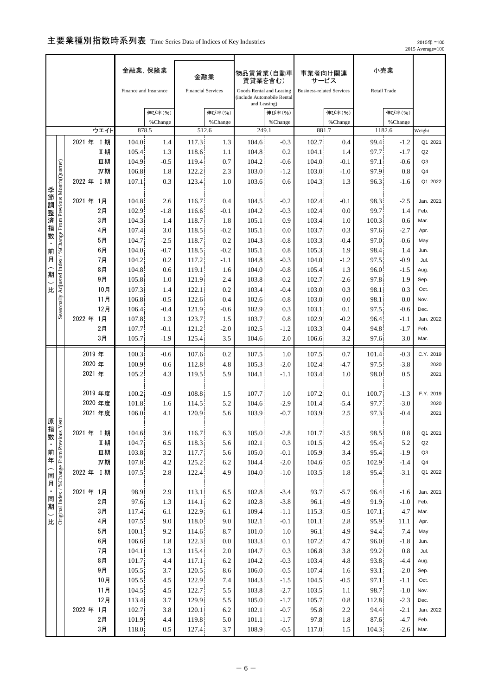## 主要業種別指数時系列表 Time Series Data of Indices of Key Industries

 2015年 =100 2015 Average=100

|                        |                                                                   |                  |                | 金融業, 保険業              |               |                           | 金融業              | 物品賃貸業(自動車<br>賃貸業を含む)                                                   |                  | 事業者向け関連                          | サービス             | 小売業           |                  |                   |
|------------------------|-------------------------------------------------------------------|------------------|----------------|-----------------------|---------------|---------------------------|------------------|------------------------------------------------------------------------|------------------|----------------------------------|------------------|---------------|------------------|-------------------|
|                        | ウエイト                                                              |                  |                | Finance and Insurance |               | <b>Financial Services</b> |                  | Goods Rental and Leasing<br>(include Automobile Rental<br>and Leasing) |                  | <b>Business-related Services</b> |                  | Retail Trade  |                  |                   |
|                        |                                                                   |                  |                |                       | 伸び率(%)        |                           | 伸び率(%)           |                                                                        | 伸び率(%)           |                                  | 伸び率(%)           |               | 伸び率(%)           |                   |
|                        |                                                                   |                  |                | 878.5                 | %Change       |                           | %Change<br>512.6 | 249.1                                                                  | %Change          |                                  | %Change<br>881.7 | 1182.6        | %Change          | Weight            |
|                        |                                                                   | 2021 年 I 期       |                | 104.0                 | 1.4           | 117.3                     | 1.3              | 104.6                                                                  | $-0.3$           | 102.7                            | 0.4              | 99.4          | $-1.2$           | Q1 2021           |
|                        |                                                                   |                  | Ⅱ期             | 105.4                 | 1.3           | 118.6                     | 1.1              | 104.8                                                                  | 0.2              | 104.1                            | 1.4              | 97.7          | $-1.7$           | Q <sub>2</sub>    |
|                        |                                                                   |                  | Ⅲ期             | 104.9                 | $-0.5$        | 119.4                     | 0.7              | 104.2                                                                  | $-0.6$           | 104.0                            | $-0.1$           | 97.1          | $-0.6$           | Q3                |
|                        |                                                                   |                  | IV期            | 106.8                 | 1.8           | 122.2                     | 2.3              | 103.0                                                                  | $-1.2$           | 103.0                            | $-1.0$           | 97.9          | 0.8              | Q4                |
|                        |                                                                   | 2022 年           | <b>I期</b>      | 107.1                 | 0.3           | 123.4                     | 1.0              | 103.6                                                                  | 0.6              | 104.3                            | 1.3              | 96.3          | $-1.6$           | Q1 2022           |
| 季節調                    | Seasonally Adjusted Index / % Change From Previous Month(Quarter) |                  |                |                       |               |                           |                  |                                                                        |                  |                                  |                  |               |                  |                   |
|                        |                                                                   | 2021 年           | - 1月           | 104.8                 | 2.6           | 116.7                     | 0.4              | 104.5                                                                  | $-0.2$           | 102.4                            | $-0.1$           | 98.3          | $-2.5$           | Jan. 2021         |
| 整                      |                                                                   |                  | 2月             | 102.9                 | $-1.8$        | 116.6                     | $-0.1$           | 104.2                                                                  | $-0.3$           | 102.4                            | 0.0              | 99.7          | 1.4              | Feb.              |
| 一済指                    |                                                                   |                  | 3月<br>4月       | 104.3<br>107.4        | 1.4<br>3.0    | 118.7<br>118.5            | 1.8<br>$-0.2$    | 105.1<br>105.1                                                         | 0.9<br>0.0       | 103.4<br>103.7                   | 1.0<br>0.3       | 100.3<br>97.6 | 0.6<br>$-2.7$    | Mar.<br>Apr.      |
| 数                      |                                                                   |                  | 5月             | 104.7                 | $-2.5$        | 118.7                     | 0.2              | 104.3                                                                  | $-0.8$           | 103.3                            | $-0.4$           | 97.0          | $-0.6$           | May               |
| 前                      |                                                                   |                  | 6月             | 104.0                 | $-0.7$        | 118.5                     | $-0.2$           | 105.1                                                                  | 0.8              | 105.3                            | 1.9              | 98.4          | 1.4              | Jun.              |
| 月                      |                                                                   |                  | 7月             | 104.2                 | 0.2           | 117.2                     | -1.1             | 104.8                                                                  | $-0.3$           | 104.0                            | $-1.2$           | 97.5          | $-0.9$           | Jul.              |
| 期                      |                                                                   |                  | 8月             | 104.8                 | 0.6           | 119.1                     | 1.6              | 104.0                                                                  | $-0.8$           | 105.4                            | 1.3              | 96.0          | $-1.5$           | Aug.              |
|                        |                                                                   |                  | 9月             | 105.8                 | 1.0           | 121.9                     | 2.4              | 103.8                                                                  | $-0.2$           | 102.7                            | $-2.6$           | 97.8          | 1.9              | Sep.              |
| 比                      |                                                                   |                  | 10月            | 107.3                 | 1.4           | 122.1                     | 0.2              | 103.4                                                                  | $-0.4$           | 103.0                            | 0.3              | 98.1          | 0.3              | Oct.              |
|                        |                                                                   |                  | 11月            | 106.8                 | $-0.5$        | 122.6                     | 0.4              | 102.6                                                                  | $-0.8$           | 103.0                            | 0.0              | 98.1          | 0.0              | Nov.<br>Dec.      |
|                        |                                                                   | 2022年 1月         | 12月            | 106.4<br>107.8        | $-0.4$<br>1.3 | 121.9<br>123.7            | $-0.6$<br>1.5    | 102.9<br>103.7                                                         | 0.3<br>0.8       | 103.1<br>102.9                   | 0.1<br>$-0.2$    | 97.5<br>96.4  | $-0.6$<br>$-1.1$ | Jan. 2022         |
|                        |                                                                   |                  | 2月             | 107.7                 | $-0.1$        | 121.2                     | $-2.0$           | 102.5                                                                  | $-1.2$           | 103.3                            | 0.4              | 94.8          | $-1.7$           | Feb.              |
|                        |                                                                   |                  | 3月             | 105.7                 | $-1.9$        | 125.4                     | 3.5              | 104.6                                                                  | 2.0              | 106.6                            | 3.2              | 97.6          | 3.0              | Mar.              |
|                        |                                                                   |                  |                |                       |               |                           |                  |                                                                        |                  |                                  |                  |               |                  |                   |
|                        |                                                                   | 2019 年<br>2020 年 |                | 100.3<br>100.9        | $-0.6$<br>0.6 | 107.6<br>112.8            | 0.2<br>4.8       | 107.5<br>105.3                                                         | 1.0<br>$-2.0$    | 107.5<br>102.4                   | 0.7<br>$-4.7$    | 101.4<br>97.5 | $-0.3$<br>$-3.8$ | C.Y. 2019<br>2020 |
|                        |                                                                   | 2021 年           |                | 105.2                 | 4.3           | 119.5                     | 5.9              | 104.1                                                                  | $-1.1$           | 103.4                            | 1.0              | 98.0          | 0.5              | 2021              |
|                        |                                                                   |                  |                |                       |               |                           |                  |                                                                        |                  |                                  |                  |               |                  |                   |
|                        |                                                                   | 2019 年度          |                | 100.2                 | $-0.9$        | 108.8                     | 1.5              | 107.7                                                                  | 1.0              | 107.2                            | 0.1              | 100.7         | $-1.3$           | F.Y. 2019         |
|                        |                                                                   | 2020 年度          |                | 101.8                 | 1.6           | 114.5                     | 5.2              | 104.6                                                                  | $-2.9$           | 101.4                            | $-5.4$           | 97.7          | $-3.0$           | 2020              |
| 原影                     |                                                                   | 2021 年度          |                | 106.0                 | 4.1           | 120.9                     | 5.6              | 103.9                                                                  | $-0.7$           | 103.9                            | 2.5              | 97.3          | $-0.4$           | 2021              |
|                        |                                                                   | 2021 年 I 期       |                | 104.6                 | 3.6           | 116.7                     | 6.3              | 105.0                                                                  | $-2.8$           | 101.7                            | $-3.5$           | 98.5          | 0.8              | Q1 2021           |
|                        |                                                                   |                  | Ⅱ期             | 104.7                 | 6.5           | 118.3                     | 5.6              | 102.1                                                                  | 0.3              | 101.5                            | 4.2              | 95.4          | 5.2              | Q2                |
|                        |                                                                   |                  | 皿期             | 103.8                 | 3.2           | 117.7                     | 5.6              | 105.0                                                                  | $-0.1$           | 105.9                            | 3.4              | 95.4          | $-1.9$           | Q3                |
|                        |                                                                   |                  | IV期            | 107.8                 | 4.2           | 125.2                     | 6.2              | 104.4                                                                  | $-2.0$           | 104.6                            | 0.5              | 102.9         | $-1.4$           | Q <sub>4</sub>    |
|                        |                                                                   | 2022 年 I 期       |                | 107.5                 | 2.8           | 122.4                     | 4.9              | 104.0                                                                  | $-1.0$           | 103.5                            | 1.8              | 95.4          | $-3.1$           | Q1 2022           |
| 指数・前年(同月・国朝)比比 ) 比 ) 比 |                                                                   |                  |                |                       |               |                           |                  |                                                                        |                  |                                  |                  |               |                  |                   |
|                        |                                                                   | 2021年 1月         | 2月             | 98.9<br>97.6          | 2.9<br>1.3    | 113.1<br>114.1            | 6.5<br>6.2       | 102.8<br>102.8                                                         | $-3.4$<br>$-3.8$ | 93.7<br>96.1                     | $-5.7$<br>$-4.9$ | 96.4<br>91.9  | $-1.6$<br>$-1.0$ | Jan. 2021<br>Feb. |
|                        |                                                                   |                  | 3月             | 117.4                 | 6.1           | 122.9                     | 6.1              | 109.4                                                                  | $-1.1$           | 115.3                            | $-0.5$           | 107.1         | 4.7              | Mar.              |
|                        |                                                                   |                  | 4月             | 107.5                 | 9.0           | 118.0                     | 9.0              | 102.1                                                                  | $-0.1$           | 101.1                            | 2.8              | 95.9          | 11.1             | Apr.              |
|                        |                                                                   |                  | 5 <sub>月</sub> | 100.1                 | 9.2           | 114.6                     | 8.7              | 101.0                                                                  | 1.0              | 96.1                             | 4.9              | 94.4          | 7.4              | May               |
|                        |                                                                   |                  | 6月             | 106.6                 | 1.8           | 122.3                     | 0.0              | 103.3                                                                  | 0.1              | 107.2                            | 4.7              | 96.0          | $-1.8$           | Jun.              |
|                        |                                                                   |                  | 7月             | 104.1                 | 1.3           | 115.4                     | 2.0              | 104.7                                                                  | 0.3              | 106.8                            | 3.8              | 99.2          | 0.8              | Jul.              |
|                        |                                                                   |                  | $8$ 月          | 101.7                 | 4.4           | 117.1                     | 6.2              | 104.2                                                                  | $-0.3$           | 103.4                            | 4.8              | 93.8          | $-4.4$           | Aug.              |
|                        |                                                                   |                  | 9月             | 105.5                 | 3.7           | 120.5                     | 8.6              | 106.0                                                                  | $-0.5$           | 107.4                            | 1.6              | 93.1          | $-2.0$           | Sep.              |
|                        |                                                                   |                  | 10月<br>11月     | 105.5<br>104.5        | 4.5<br>4.5    | 122.9<br>122.7            | 7.4<br>5.5       | 104.3<br>103.8                                                         | $-1.5$<br>$-2.7$ | 104.5<br>103.5                   | $-0.5$<br>1.1    | 97.1<br>98.7  | $-1.1$<br>$-1.0$ | Oct.<br>Nov.      |
|                        |                                                                   |                  | 12月            | 113.4                 | 3.7           | 129.9                     | 5.5              | 105.0                                                                  | $-1.7$           | 105.7                            | 0.8              | 112.8         | $-2.3$           | Dec.              |
|                        |                                                                   | 2022 年           | 1月             | 102.7                 | $3.8\,$       | 120.1                     | 6.2              | 102.1                                                                  | $-0.7$           | 95.8                             | 2.2              | 94.4          | $-2.1$           | Jan. 2022         |
|                        |                                                                   |                  | 2月             | 101.9                 | 4.4           | 119.8                     | 5.0              | 101.1                                                                  | $-1.7$           | 97.8                             | 1.8              | 87.6          | $-4.7$           | Feb.              |
|                        |                                                                   |                  | 3月             | 118.0                 | $0.5\,$       | 127.4                     | 3.7              | 108.9                                                                  | $-0.5$           | 117.0                            | 1.5              | 104.3         | $-2.6$           | Mar.              |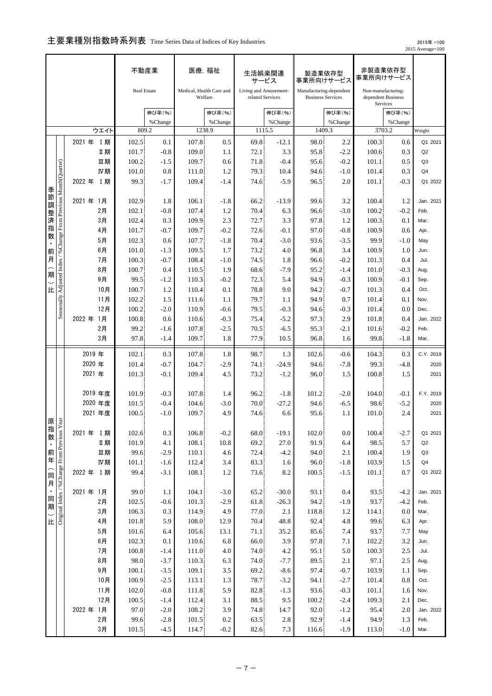# 主要業種別指数時系列表 Time Series Data of Indices of Key Industries

 2015年 =100 2015 Average=100

| Real Estate<br>Medical, Health Care and<br>Living and Amusement-<br>Manufacturing-dependent<br>Non-manufacturing-<br>Welfare<br>dependent Business<br>related Services<br><b>Business Services</b><br>Services<br>伸び率(%)<br>伸び率(%)<br>伸び率(%)<br>伸び率(%)<br>伸び率(%)<br>%Change<br>%Change<br>%Change<br>%Change<br>%Change<br>1238.9<br>1115.5<br>1409.3<br>3703.2<br>ウエイト<br>809.2<br>Weight<br>107.8<br>0.5<br>69.8<br>98.0<br>2021 年 I 期<br>102.5<br>0.1<br>$-12.1$<br>2.2<br>100.3<br>0.6<br>Q1 2021<br>Ⅱ期<br>109.0<br>95.8<br>100.6<br>0.3<br>101.7<br>$-0.8$<br>72.1<br>3.3<br>$-2.2$<br>Q2<br>1.1<br>Seasonally Adjusted Index / % Change From Previous Month(Quarter)<br>Ⅲ期<br>100.2<br>$-1.5$<br>109.7<br>71.8<br>95.6<br>101.1<br>0.5<br>0.6<br>$-0.4$<br>$-0.2$<br>Q <sub>3</sub><br>Ⅳ期<br>0.8<br>1.2<br>79.3<br>101.0<br>111.0<br>10.4<br>94.6<br>101.4<br>0.3<br>Q <sub>4</sub><br>$-1.0$<br>2022 年<br>99.3<br>109.4<br>$-5.9$<br>$-0.3$<br><b>I 期</b><br>$-1.7$<br>$-1.4$<br>74.6<br>96.5<br>2.0<br>101.1<br>季節調<br>2021年 1月<br>102.9<br>1.8<br>99.6<br>106.1<br>$-1.8$<br>66.2<br>$-13.9$<br>3.2<br>100.4<br>1.2<br>Jan. 2021<br>2月<br>102.1<br>$-0.8$<br>107.4<br>1.2<br>70.4<br>100.2<br>$-0.2$<br>6.3<br>96.6<br>$-3.0$<br>Feb.<br>整<br>済<br>3月<br>102.4<br>0.3<br>109.9<br>2.3<br>72.7<br>3.3<br>97.8<br>100.3<br>1.2<br>0.1<br>Mar.<br>指<br>4月<br>$-0.7$<br>109.7<br>72.6<br>97.0<br>100.9<br>101.7<br>$-0.2$<br>$-0.1$<br>$-0.8$<br>0.6<br>Apr.<br>数<br>5月<br>102.3<br>107.7<br>70.4<br>93.6<br>99.9<br>0.6<br>$-1.8$<br>$-3.0$<br>$-3.5$<br>$-1.0$<br>May<br>6月<br>109.5<br>73.2<br>101.0<br>$-1.3$<br>1.7<br>4.0<br>96.8<br>3.4<br>100.9<br>1.0<br>Jun.<br>前<br>肩<br>7月<br>74.5<br>100.3<br>$-0.7$<br>108.4<br>$-1.0$<br>1.8<br>96.6<br>$-0.2$<br>101.3<br>0.4<br>Jul.<br>8月<br>68.6<br>100.7<br>0.4<br>110.5<br>1.9<br>$-7.9$<br>95.2<br>101.0<br>$-0.3$<br>$-1.4$<br>Aug.<br>期<br>9月<br>99.5<br>72.3<br>100.9<br>$-1.2$<br>110.3<br>$-0.2$<br>5.4<br>94.9<br>$-0.3$<br>$-0.1$<br>Sep.<br>比<br>10月<br>100.7<br>78.8<br>9.0<br>1.2<br>110.4<br>0.1<br>94.2<br>$-0.7$<br>101.3<br>0.4<br>Oct.<br>11月<br>1.5<br>79.7<br>102.2<br>111.6<br>94.9<br>0.7<br>101.4<br>0.1<br>1.1<br>1.1<br>Nov.<br>12月<br>100.2<br>110.9<br>79.5<br>$-0.3$<br>$-2.0$<br>$-0.6$<br>94.6<br>$-0.3$<br>101.4<br>0.0<br>Dec.<br>2022 年<br>1月<br>100.8<br>$-0.3$<br>75.4<br>97.3<br>0.6<br>110.6<br>$-5.2$<br>2.9<br>101.8<br>0.4<br>2月<br>99.2<br>107.8<br>$-2.5$<br>70.5<br>$-6.5$<br>95.3<br>$-0.2$<br>$-1.6$<br>$-2.1$<br>101.6<br>Feb.<br>3月<br>97.8<br>109.7<br>1.8<br>77.9<br>10.5<br>99.8<br>$-1.4$<br>96.8<br>$-1.8$<br>1.6<br>Mar.<br>2019年<br>102.1<br>0.3<br>107.8<br>1.8<br>98.7<br>1.3<br>102.6<br>$-0.6$<br>104.3<br>0.3<br>2020 年<br>104.7<br>94.6<br>99.3<br>101.4<br>$-0.7$<br>$-2.9$<br>74.1<br>$-24.9$<br>$-7.8$<br>-4.8<br>2021 年<br>101.3<br>$-0.1$<br>109.4<br>4.5<br>73.2<br>$-1.2$<br>96.0<br>1.5<br>100.8<br>1.5<br>2019 年度<br>101.9<br>$-0.3$<br>107.8<br>96.2<br>$-1.8$<br>101.2<br>$-2.0$<br>104.0<br>-0.1<br>F.Y. 2019<br>1.4<br>2020 年度<br>101.5<br>70.0<br>98.6<br>$-0.4$<br>104.6<br>$-3.0$<br>$-27.2$<br>94.6<br>$-6.5$<br>$-5.2$<br>2020<br>2021 年度<br>4.9<br>100.5<br>109.7<br>74.6<br>6.6<br>95.6<br>101.0<br>2.4<br>2021<br>$-1.0$<br>1.1<br>原思<br>指数<br>Original Index / %Change From Previous Y<br>2021 年 I 期<br>0.3<br>106.8<br>$-0.2$<br>68.0<br>$-19.1$<br>102.0<br>102.6<br>0.0<br>100.4<br>$-2.7$<br>Q1 2021<br>Ⅱ期<br>101.9<br>108.1<br>10.8<br>69.2<br>27.0<br>91.9<br>98.5<br>5.7<br>4.1<br>6.4<br>Q2<br>前年<br>皿期<br>99.6<br>$-2.9$<br>94.0<br>110.1<br>4.6<br>72.4<br>$-4.2$<br>2.1<br>100.4<br>1.9<br>Q3<br>IV期<br>101.1<br>$-1.6$<br>112.4<br>3.4<br>83.3<br>1.6<br>96.0<br>103.9<br>1.5<br>Q <sub>4</sub><br>$-1.8$<br>(同月<br>2022 年 I 期<br>99.4<br>108.1<br>8.2<br>$-3.1$<br>1.2<br>73.6<br>100.5<br>$-1.5$<br>101.1<br>0.7<br>$\blacksquare$<br>2021年 1月<br>99.0<br>1.1<br>104.1<br>$-3.0$<br>65.2<br>$-30.0$<br>93.1<br>0.4<br>93.5<br>$-4.2$<br>Jan. 2021<br>同期<br>2月<br>102.5<br>$-0.6$<br>101.3<br>$-2.9$<br>61.8<br>$-26.3$<br>94.2<br>93.7<br>$-4.2$<br>$-1.9$<br>Feb.<br>3月<br>106.3<br>0.3<br>77.0<br>114.9<br>4.9<br>2.1<br>118.8<br>0.0<br>1.2<br>114.1<br>Mar.<br>比<br>4月<br>101.8<br>5.9<br>108.0<br>48.8<br>92.4<br>12.9<br>70.4<br>4.8<br>99.6<br>6.3<br>Apr.<br>5 <sub>月</sub><br>101.6<br>105.6<br>6.4<br>13.1<br>71.1<br>35.2<br>85.6<br>7.4<br>93.7<br>7.7<br>May<br>$6$ 月<br>102.3<br>0.1<br>110.6<br>6.8<br>3.9<br>97.8<br>66.0<br>102.2<br>3.2<br>7.1<br>Jun.<br>7月<br>100.8<br>$-1.4$<br>$111.0\,$<br>74.0<br>4.2<br>95.1<br>$2.5\,$<br>4.0<br>100.3<br>Jul.<br>5.0<br>$8$ 月<br>98.0<br>$-7.7$<br>97.1<br>$-3.7$<br>110.3<br>6.3<br>74.0<br>89.5<br>2.1<br>2.5<br>Aug.<br>9 <sub>月</sub><br>100.1<br>$-3.5$<br>109.1<br>103.9<br>3.5<br>69.2<br>$-8.6$<br>97.4<br>$-0.7$<br>Sep.<br>1.1<br>10月<br>100.9<br>$-2.5$<br>78.7<br>113.1<br>1.3<br>$-3.2$<br>94.1<br>$-2.7$<br>101.4<br>0.8<br>Oct.<br>82.8<br>11月<br>102.0<br>$-0.8$<br>111.8<br>5.9<br>$-1.3$<br>93.6<br>$-0.3$<br>101.1<br>1.6<br>Nov.<br>12月<br>100.5<br>$-1.4$<br>112.4<br>3.1<br>88.5<br>9.5<br>100.2<br>109.3<br>2.1<br>$-2.4$<br>Dec.<br>97.0<br>74.8<br>2022 年<br>1月<br>$-2.0$<br>108.2<br>3.9<br>14.7<br>92.0<br>95.4<br>2.0<br>Jan. 2022<br>$-1.2$<br>2月<br>99.6<br>92.9<br>94.9<br>$-2.8$<br>101.5<br>0.2<br>63.5<br>2.8<br>Feb.<br>$-1.4$<br>1.3 |  |  | 不動産業 |  | 医療, 福祉 | 生活娯楽関連<br>サービス | 製造業依存型<br>事業所向けサービス | 事業所向けサービス | 非製造業依存型 |           |
|---------------------------------------------------------------------------------------------------------------------------------------------------------------------------------------------------------------------------------------------------------------------------------------------------------------------------------------------------------------------------------------------------------------------------------------------------------------------------------------------------------------------------------------------------------------------------------------------------------------------------------------------------------------------------------------------------------------------------------------------------------------------------------------------------------------------------------------------------------------------------------------------------------------------------------------------------------------------------------------------------------------------------------------------------------------------------------------------------------------------------------------------------------------------------------------------------------------------------------------------------------------------------------------------------------------------------------------------------------------------------------------------------------------------------------------------------------------------------------------------------------------------------------------------------------------------------------------------------------------------------------------------------------------------------------------------------------------------------------------------------------------------------------------------------------------------------------------------------------------------------------------------------------------------------------------------------------------------------------------------------------------------------------------------------------------------------------------------------------------------------------------------------------------------------------------------------------------------------------------------------------------------------------------------------------------------------------------------------------------------------------------------------------------------------------------------------------------------------------------------------------------------------------------------------------------------------------------------------------------------------------------------------------------------------------------------------------------------------------------------------------------------------------------------------------------------------------------------------------------------------------------------------------------------------------------------------------------------------------------------------------------------------------------------------------------------------------------------------------------------------------------------------------------------------------------------------------------------------------------------------------------------------------------------------------------------------------------------------------------------------------------------------------------------------------------------------------------------------------------------------------------------------------------------------------------------------------------------------------------------------------------------------------------------------------------------------------------------------------------------------------------------------------------------------------------------------------------------------------------------------------------------------------------------------------------------------------------------------------------------------------------------------------------------------------------------------------------------------------------------------------------------------------------------------------------------------------------------------------------------------------------------------------------------------------------------------------------------------------------------------------------------------------------------------------------------------------------------------------------------------------------------------------------------------------------------------------------------------------------------------------------------------------------------------------------------------------------------------------------------------------------------------------------------------------------------------------------------------------------------------------------------------------------------------------------------------------------------------------------------------------------------------------------------------------------------------------------------------------------------------------------------------------------------------------------------------------------------------------------------------------------------------------------------------------------------------------------------------------------------------------------------|--|--|------|--|--------|----------------|---------------------|-----------|---------|-----------|
|                                                                                                                                                                                                                                                                                                                                                                                                                                                                                                                                                                                                                                                                                                                                                                                                                                                                                                                                                                                                                                                                                                                                                                                                                                                                                                                                                                                                                                                                                                                                                                                                                                                                                                                                                                                                                                                                                                                                                                                                                                                                                                                                                                                                                                                                                                                                                                                                                                                                                                                                                                                                                                                                                                                                                                                                                                                                                                                                                                                                                                                                                                                                                                                                                                                                                                                                                                                                                                                                                                                                                                                                                                                                                                                                                                                                                                                                                                                                                                                                                                                                                                                                                                                                                                                                                                                                                                                                                                                                                                                                                                                                                                                                                                                                                                                                                                                                                                                                                                                                                                                                                                                                                                                                                                                                                                                                                                                             |  |  |      |  |        |                |                     |           |         |           |
|                                                                                                                                                                                                                                                                                                                                                                                                                                                                                                                                                                                                                                                                                                                                                                                                                                                                                                                                                                                                                                                                                                                                                                                                                                                                                                                                                                                                                                                                                                                                                                                                                                                                                                                                                                                                                                                                                                                                                                                                                                                                                                                                                                                                                                                                                                                                                                                                                                                                                                                                                                                                                                                                                                                                                                                                                                                                                                                                                                                                                                                                                                                                                                                                                                                                                                                                                                                                                                                                                                                                                                                                                                                                                                                                                                                                                                                                                                                                                                                                                                                                                                                                                                                                                                                                                                                                                                                                                                                                                                                                                                                                                                                                                                                                                                                                                                                                                                                                                                                                                                                                                                                                                                                                                                                                                                                                                                                             |  |  |      |  |        |                |                     |           |         |           |
|                                                                                                                                                                                                                                                                                                                                                                                                                                                                                                                                                                                                                                                                                                                                                                                                                                                                                                                                                                                                                                                                                                                                                                                                                                                                                                                                                                                                                                                                                                                                                                                                                                                                                                                                                                                                                                                                                                                                                                                                                                                                                                                                                                                                                                                                                                                                                                                                                                                                                                                                                                                                                                                                                                                                                                                                                                                                                                                                                                                                                                                                                                                                                                                                                                                                                                                                                                                                                                                                                                                                                                                                                                                                                                                                                                                                                                                                                                                                                                                                                                                                                                                                                                                                                                                                                                                                                                                                                                                                                                                                                                                                                                                                                                                                                                                                                                                                                                                                                                                                                                                                                                                                                                                                                                                                                                                                                                                             |  |  |      |  |        |                |                     |           |         |           |
|                                                                                                                                                                                                                                                                                                                                                                                                                                                                                                                                                                                                                                                                                                                                                                                                                                                                                                                                                                                                                                                                                                                                                                                                                                                                                                                                                                                                                                                                                                                                                                                                                                                                                                                                                                                                                                                                                                                                                                                                                                                                                                                                                                                                                                                                                                                                                                                                                                                                                                                                                                                                                                                                                                                                                                                                                                                                                                                                                                                                                                                                                                                                                                                                                                                                                                                                                                                                                                                                                                                                                                                                                                                                                                                                                                                                                                                                                                                                                                                                                                                                                                                                                                                                                                                                                                                                                                                                                                                                                                                                                                                                                                                                                                                                                                                                                                                                                                                                                                                                                                                                                                                                                                                                                                                                                                                                                                                             |  |  |      |  |        |                |                     |           |         |           |
|                                                                                                                                                                                                                                                                                                                                                                                                                                                                                                                                                                                                                                                                                                                                                                                                                                                                                                                                                                                                                                                                                                                                                                                                                                                                                                                                                                                                                                                                                                                                                                                                                                                                                                                                                                                                                                                                                                                                                                                                                                                                                                                                                                                                                                                                                                                                                                                                                                                                                                                                                                                                                                                                                                                                                                                                                                                                                                                                                                                                                                                                                                                                                                                                                                                                                                                                                                                                                                                                                                                                                                                                                                                                                                                                                                                                                                                                                                                                                                                                                                                                                                                                                                                                                                                                                                                                                                                                                                                                                                                                                                                                                                                                                                                                                                                                                                                                                                                                                                                                                                                                                                                                                                                                                                                                                                                                                                                             |  |  |      |  |        |                |                     |           |         |           |
|                                                                                                                                                                                                                                                                                                                                                                                                                                                                                                                                                                                                                                                                                                                                                                                                                                                                                                                                                                                                                                                                                                                                                                                                                                                                                                                                                                                                                                                                                                                                                                                                                                                                                                                                                                                                                                                                                                                                                                                                                                                                                                                                                                                                                                                                                                                                                                                                                                                                                                                                                                                                                                                                                                                                                                                                                                                                                                                                                                                                                                                                                                                                                                                                                                                                                                                                                                                                                                                                                                                                                                                                                                                                                                                                                                                                                                                                                                                                                                                                                                                                                                                                                                                                                                                                                                                                                                                                                                                                                                                                                                                                                                                                                                                                                                                                                                                                                                                                                                                                                                                                                                                                                                                                                                                                                                                                                                                             |  |  |      |  |        |                |                     |           |         |           |
|                                                                                                                                                                                                                                                                                                                                                                                                                                                                                                                                                                                                                                                                                                                                                                                                                                                                                                                                                                                                                                                                                                                                                                                                                                                                                                                                                                                                                                                                                                                                                                                                                                                                                                                                                                                                                                                                                                                                                                                                                                                                                                                                                                                                                                                                                                                                                                                                                                                                                                                                                                                                                                                                                                                                                                                                                                                                                                                                                                                                                                                                                                                                                                                                                                                                                                                                                                                                                                                                                                                                                                                                                                                                                                                                                                                                                                                                                                                                                                                                                                                                                                                                                                                                                                                                                                                                                                                                                                                                                                                                                                                                                                                                                                                                                                                                                                                                                                                                                                                                                                                                                                                                                                                                                                                                                                                                                                                             |  |  |      |  |        |                |                     |           |         |           |
|                                                                                                                                                                                                                                                                                                                                                                                                                                                                                                                                                                                                                                                                                                                                                                                                                                                                                                                                                                                                                                                                                                                                                                                                                                                                                                                                                                                                                                                                                                                                                                                                                                                                                                                                                                                                                                                                                                                                                                                                                                                                                                                                                                                                                                                                                                                                                                                                                                                                                                                                                                                                                                                                                                                                                                                                                                                                                                                                                                                                                                                                                                                                                                                                                                                                                                                                                                                                                                                                                                                                                                                                                                                                                                                                                                                                                                                                                                                                                                                                                                                                                                                                                                                                                                                                                                                                                                                                                                                                                                                                                                                                                                                                                                                                                                                                                                                                                                                                                                                                                                                                                                                                                                                                                                                                                                                                                                                             |  |  |      |  |        |                |                     |           |         | Q1 2022   |
|                                                                                                                                                                                                                                                                                                                                                                                                                                                                                                                                                                                                                                                                                                                                                                                                                                                                                                                                                                                                                                                                                                                                                                                                                                                                                                                                                                                                                                                                                                                                                                                                                                                                                                                                                                                                                                                                                                                                                                                                                                                                                                                                                                                                                                                                                                                                                                                                                                                                                                                                                                                                                                                                                                                                                                                                                                                                                                                                                                                                                                                                                                                                                                                                                                                                                                                                                                                                                                                                                                                                                                                                                                                                                                                                                                                                                                                                                                                                                                                                                                                                                                                                                                                                                                                                                                                                                                                                                                                                                                                                                                                                                                                                                                                                                                                                                                                                                                                                                                                                                                                                                                                                                                                                                                                                                                                                                                                             |  |  |      |  |        |                |                     |           |         |           |
|                                                                                                                                                                                                                                                                                                                                                                                                                                                                                                                                                                                                                                                                                                                                                                                                                                                                                                                                                                                                                                                                                                                                                                                                                                                                                                                                                                                                                                                                                                                                                                                                                                                                                                                                                                                                                                                                                                                                                                                                                                                                                                                                                                                                                                                                                                                                                                                                                                                                                                                                                                                                                                                                                                                                                                                                                                                                                                                                                                                                                                                                                                                                                                                                                                                                                                                                                                                                                                                                                                                                                                                                                                                                                                                                                                                                                                                                                                                                                                                                                                                                                                                                                                                                                                                                                                                                                                                                                                                                                                                                                                                                                                                                                                                                                                                                                                                                                                                                                                                                                                                                                                                                                                                                                                                                                                                                                                                             |  |  |      |  |        |                |                     |           |         |           |
|                                                                                                                                                                                                                                                                                                                                                                                                                                                                                                                                                                                                                                                                                                                                                                                                                                                                                                                                                                                                                                                                                                                                                                                                                                                                                                                                                                                                                                                                                                                                                                                                                                                                                                                                                                                                                                                                                                                                                                                                                                                                                                                                                                                                                                                                                                                                                                                                                                                                                                                                                                                                                                                                                                                                                                                                                                                                                                                                                                                                                                                                                                                                                                                                                                                                                                                                                                                                                                                                                                                                                                                                                                                                                                                                                                                                                                                                                                                                                                                                                                                                                                                                                                                                                                                                                                                                                                                                                                                                                                                                                                                                                                                                                                                                                                                                                                                                                                                                                                                                                                                                                                                                                                                                                                                                                                                                                                                             |  |  |      |  |        |                |                     |           |         |           |
|                                                                                                                                                                                                                                                                                                                                                                                                                                                                                                                                                                                                                                                                                                                                                                                                                                                                                                                                                                                                                                                                                                                                                                                                                                                                                                                                                                                                                                                                                                                                                                                                                                                                                                                                                                                                                                                                                                                                                                                                                                                                                                                                                                                                                                                                                                                                                                                                                                                                                                                                                                                                                                                                                                                                                                                                                                                                                                                                                                                                                                                                                                                                                                                                                                                                                                                                                                                                                                                                                                                                                                                                                                                                                                                                                                                                                                                                                                                                                                                                                                                                                                                                                                                                                                                                                                                                                                                                                                                                                                                                                                                                                                                                                                                                                                                                                                                                                                                                                                                                                                                                                                                                                                                                                                                                                                                                                                                             |  |  |      |  |        |                |                     |           |         |           |
|                                                                                                                                                                                                                                                                                                                                                                                                                                                                                                                                                                                                                                                                                                                                                                                                                                                                                                                                                                                                                                                                                                                                                                                                                                                                                                                                                                                                                                                                                                                                                                                                                                                                                                                                                                                                                                                                                                                                                                                                                                                                                                                                                                                                                                                                                                                                                                                                                                                                                                                                                                                                                                                                                                                                                                                                                                                                                                                                                                                                                                                                                                                                                                                                                                                                                                                                                                                                                                                                                                                                                                                                                                                                                                                                                                                                                                                                                                                                                                                                                                                                                                                                                                                                                                                                                                                                                                                                                                                                                                                                                                                                                                                                                                                                                                                                                                                                                                                                                                                                                                                                                                                                                                                                                                                                                                                                                                                             |  |  |      |  |        |                |                     |           |         |           |
|                                                                                                                                                                                                                                                                                                                                                                                                                                                                                                                                                                                                                                                                                                                                                                                                                                                                                                                                                                                                                                                                                                                                                                                                                                                                                                                                                                                                                                                                                                                                                                                                                                                                                                                                                                                                                                                                                                                                                                                                                                                                                                                                                                                                                                                                                                                                                                                                                                                                                                                                                                                                                                                                                                                                                                                                                                                                                                                                                                                                                                                                                                                                                                                                                                                                                                                                                                                                                                                                                                                                                                                                                                                                                                                                                                                                                                                                                                                                                                                                                                                                                                                                                                                                                                                                                                                                                                                                                                                                                                                                                                                                                                                                                                                                                                                                                                                                                                                                                                                                                                                                                                                                                                                                                                                                                                                                                                                             |  |  |      |  |        |                |                     |           |         |           |
|                                                                                                                                                                                                                                                                                                                                                                                                                                                                                                                                                                                                                                                                                                                                                                                                                                                                                                                                                                                                                                                                                                                                                                                                                                                                                                                                                                                                                                                                                                                                                                                                                                                                                                                                                                                                                                                                                                                                                                                                                                                                                                                                                                                                                                                                                                                                                                                                                                                                                                                                                                                                                                                                                                                                                                                                                                                                                                                                                                                                                                                                                                                                                                                                                                                                                                                                                                                                                                                                                                                                                                                                                                                                                                                                                                                                                                                                                                                                                                                                                                                                                                                                                                                                                                                                                                                                                                                                                                                                                                                                                                                                                                                                                                                                                                                                                                                                                                                                                                                                                                                                                                                                                                                                                                                                                                                                                                                             |  |  |      |  |        |                |                     |           |         |           |
|                                                                                                                                                                                                                                                                                                                                                                                                                                                                                                                                                                                                                                                                                                                                                                                                                                                                                                                                                                                                                                                                                                                                                                                                                                                                                                                                                                                                                                                                                                                                                                                                                                                                                                                                                                                                                                                                                                                                                                                                                                                                                                                                                                                                                                                                                                                                                                                                                                                                                                                                                                                                                                                                                                                                                                                                                                                                                                                                                                                                                                                                                                                                                                                                                                                                                                                                                                                                                                                                                                                                                                                                                                                                                                                                                                                                                                                                                                                                                                                                                                                                                                                                                                                                                                                                                                                                                                                                                                                                                                                                                                                                                                                                                                                                                                                                                                                                                                                                                                                                                                                                                                                                                                                                                                                                                                                                                                                             |  |  |      |  |        |                |                     |           |         |           |
|                                                                                                                                                                                                                                                                                                                                                                                                                                                                                                                                                                                                                                                                                                                                                                                                                                                                                                                                                                                                                                                                                                                                                                                                                                                                                                                                                                                                                                                                                                                                                                                                                                                                                                                                                                                                                                                                                                                                                                                                                                                                                                                                                                                                                                                                                                                                                                                                                                                                                                                                                                                                                                                                                                                                                                                                                                                                                                                                                                                                                                                                                                                                                                                                                                                                                                                                                                                                                                                                                                                                                                                                                                                                                                                                                                                                                                                                                                                                                                                                                                                                                                                                                                                                                                                                                                                                                                                                                                                                                                                                                                                                                                                                                                                                                                                                                                                                                                                                                                                                                                                                                                                                                                                                                                                                                                                                                                                             |  |  |      |  |        |                |                     |           |         |           |
|                                                                                                                                                                                                                                                                                                                                                                                                                                                                                                                                                                                                                                                                                                                                                                                                                                                                                                                                                                                                                                                                                                                                                                                                                                                                                                                                                                                                                                                                                                                                                                                                                                                                                                                                                                                                                                                                                                                                                                                                                                                                                                                                                                                                                                                                                                                                                                                                                                                                                                                                                                                                                                                                                                                                                                                                                                                                                                                                                                                                                                                                                                                                                                                                                                                                                                                                                                                                                                                                                                                                                                                                                                                                                                                                                                                                                                                                                                                                                                                                                                                                                                                                                                                                                                                                                                                                                                                                                                                                                                                                                                                                                                                                                                                                                                                                                                                                                                                                                                                                                                                                                                                                                                                                                                                                                                                                                                                             |  |  |      |  |        |                |                     |           |         |           |
|                                                                                                                                                                                                                                                                                                                                                                                                                                                                                                                                                                                                                                                                                                                                                                                                                                                                                                                                                                                                                                                                                                                                                                                                                                                                                                                                                                                                                                                                                                                                                                                                                                                                                                                                                                                                                                                                                                                                                                                                                                                                                                                                                                                                                                                                                                                                                                                                                                                                                                                                                                                                                                                                                                                                                                                                                                                                                                                                                                                                                                                                                                                                                                                                                                                                                                                                                                                                                                                                                                                                                                                                                                                                                                                                                                                                                                                                                                                                                                                                                                                                                                                                                                                                                                                                                                                                                                                                                                                                                                                                                                                                                                                                                                                                                                                                                                                                                                                                                                                                                                                                                                                                                                                                                                                                                                                                                                                             |  |  |      |  |        |                |                     |           |         |           |
|                                                                                                                                                                                                                                                                                                                                                                                                                                                                                                                                                                                                                                                                                                                                                                                                                                                                                                                                                                                                                                                                                                                                                                                                                                                                                                                                                                                                                                                                                                                                                                                                                                                                                                                                                                                                                                                                                                                                                                                                                                                                                                                                                                                                                                                                                                                                                                                                                                                                                                                                                                                                                                                                                                                                                                                                                                                                                                                                                                                                                                                                                                                                                                                                                                                                                                                                                                                                                                                                                                                                                                                                                                                                                                                                                                                                                                                                                                                                                                                                                                                                                                                                                                                                                                                                                                                                                                                                                                                                                                                                                                                                                                                                                                                                                                                                                                                                                                                                                                                                                                                                                                                                                                                                                                                                                                                                                                                             |  |  |      |  |        |                |                     |           |         |           |
|                                                                                                                                                                                                                                                                                                                                                                                                                                                                                                                                                                                                                                                                                                                                                                                                                                                                                                                                                                                                                                                                                                                                                                                                                                                                                                                                                                                                                                                                                                                                                                                                                                                                                                                                                                                                                                                                                                                                                                                                                                                                                                                                                                                                                                                                                                                                                                                                                                                                                                                                                                                                                                                                                                                                                                                                                                                                                                                                                                                                                                                                                                                                                                                                                                                                                                                                                                                                                                                                                                                                                                                                                                                                                                                                                                                                                                                                                                                                                                                                                                                                                                                                                                                                                                                                                                                                                                                                                                                                                                                                                                                                                                                                                                                                                                                                                                                                                                                                                                                                                                                                                                                                                                                                                                                                                                                                                                                             |  |  |      |  |        |                |                     |           |         | Jan. 2022 |
|                                                                                                                                                                                                                                                                                                                                                                                                                                                                                                                                                                                                                                                                                                                                                                                                                                                                                                                                                                                                                                                                                                                                                                                                                                                                                                                                                                                                                                                                                                                                                                                                                                                                                                                                                                                                                                                                                                                                                                                                                                                                                                                                                                                                                                                                                                                                                                                                                                                                                                                                                                                                                                                                                                                                                                                                                                                                                                                                                                                                                                                                                                                                                                                                                                                                                                                                                                                                                                                                                                                                                                                                                                                                                                                                                                                                                                                                                                                                                                                                                                                                                                                                                                                                                                                                                                                                                                                                                                                                                                                                                                                                                                                                                                                                                                                                                                                                                                                                                                                                                                                                                                                                                                                                                                                                                                                                                                                             |  |  |      |  |        |                |                     |           |         |           |
|                                                                                                                                                                                                                                                                                                                                                                                                                                                                                                                                                                                                                                                                                                                                                                                                                                                                                                                                                                                                                                                                                                                                                                                                                                                                                                                                                                                                                                                                                                                                                                                                                                                                                                                                                                                                                                                                                                                                                                                                                                                                                                                                                                                                                                                                                                                                                                                                                                                                                                                                                                                                                                                                                                                                                                                                                                                                                                                                                                                                                                                                                                                                                                                                                                                                                                                                                                                                                                                                                                                                                                                                                                                                                                                                                                                                                                                                                                                                                                                                                                                                                                                                                                                                                                                                                                                                                                                                                                                                                                                                                                                                                                                                                                                                                                                                                                                                                                                                                                                                                                                                                                                                                                                                                                                                                                                                                                                             |  |  |      |  |        |                |                     |           |         |           |
|                                                                                                                                                                                                                                                                                                                                                                                                                                                                                                                                                                                                                                                                                                                                                                                                                                                                                                                                                                                                                                                                                                                                                                                                                                                                                                                                                                                                                                                                                                                                                                                                                                                                                                                                                                                                                                                                                                                                                                                                                                                                                                                                                                                                                                                                                                                                                                                                                                                                                                                                                                                                                                                                                                                                                                                                                                                                                                                                                                                                                                                                                                                                                                                                                                                                                                                                                                                                                                                                                                                                                                                                                                                                                                                                                                                                                                                                                                                                                                                                                                                                                                                                                                                                                                                                                                                                                                                                                                                                                                                                                                                                                                                                                                                                                                                                                                                                                                                                                                                                                                                                                                                                                                                                                                                                                                                                                                                             |  |  |      |  |        |                |                     |           |         | C.Y. 2019 |
|                                                                                                                                                                                                                                                                                                                                                                                                                                                                                                                                                                                                                                                                                                                                                                                                                                                                                                                                                                                                                                                                                                                                                                                                                                                                                                                                                                                                                                                                                                                                                                                                                                                                                                                                                                                                                                                                                                                                                                                                                                                                                                                                                                                                                                                                                                                                                                                                                                                                                                                                                                                                                                                                                                                                                                                                                                                                                                                                                                                                                                                                                                                                                                                                                                                                                                                                                                                                                                                                                                                                                                                                                                                                                                                                                                                                                                                                                                                                                                                                                                                                                                                                                                                                                                                                                                                                                                                                                                                                                                                                                                                                                                                                                                                                                                                                                                                                                                                                                                                                                                                                                                                                                                                                                                                                                                                                                                                             |  |  |      |  |        |                |                     |           |         | 2020      |
|                                                                                                                                                                                                                                                                                                                                                                                                                                                                                                                                                                                                                                                                                                                                                                                                                                                                                                                                                                                                                                                                                                                                                                                                                                                                                                                                                                                                                                                                                                                                                                                                                                                                                                                                                                                                                                                                                                                                                                                                                                                                                                                                                                                                                                                                                                                                                                                                                                                                                                                                                                                                                                                                                                                                                                                                                                                                                                                                                                                                                                                                                                                                                                                                                                                                                                                                                                                                                                                                                                                                                                                                                                                                                                                                                                                                                                                                                                                                                                                                                                                                                                                                                                                                                                                                                                                                                                                                                                                                                                                                                                                                                                                                                                                                                                                                                                                                                                                                                                                                                                                                                                                                                                                                                                                                                                                                                                                             |  |  |      |  |        |                |                     |           |         | 2021      |
|                                                                                                                                                                                                                                                                                                                                                                                                                                                                                                                                                                                                                                                                                                                                                                                                                                                                                                                                                                                                                                                                                                                                                                                                                                                                                                                                                                                                                                                                                                                                                                                                                                                                                                                                                                                                                                                                                                                                                                                                                                                                                                                                                                                                                                                                                                                                                                                                                                                                                                                                                                                                                                                                                                                                                                                                                                                                                                                                                                                                                                                                                                                                                                                                                                                                                                                                                                                                                                                                                                                                                                                                                                                                                                                                                                                                                                                                                                                                                                                                                                                                                                                                                                                                                                                                                                                                                                                                                                                                                                                                                                                                                                                                                                                                                                                                                                                                                                                                                                                                                                                                                                                                                                                                                                                                                                                                                                                             |  |  |      |  |        |                |                     |           |         |           |
|                                                                                                                                                                                                                                                                                                                                                                                                                                                                                                                                                                                                                                                                                                                                                                                                                                                                                                                                                                                                                                                                                                                                                                                                                                                                                                                                                                                                                                                                                                                                                                                                                                                                                                                                                                                                                                                                                                                                                                                                                                                                                                                                                                                                                                                                                                                                                                                                                                                                                                                                                                                                                                                                                                                                                                                                                                                                                                                                                                                                                                                                                                                                                                                                                                                                                                                                                                                                                                                                                                                                                                                                                                                                                                                                                                                                                                                                                                                                                                                                                                                                                                                                                                                                                                                                                                                                                                                                                                                                                                                                                                                                                                                                                                                                                                                                                                                                                                                                                                                                                                                                                                                                                                                                                                                                                                                                                                                             |  |  |      |  |        |                |                     |           |         |           |
|                                                                                                                                                                                                                                                                                                                                                                                                                                                                                                                                                                                                                                                                                                                                                                                                                                                                                                                                                                                                                                                                                                                                                                                                                                                                                                                                                                                                                                                                                                                                                                                                                                                                                                                                                                                                                                                                                                                                                                                                                                                                                                                                                                                                                                                                                                                                                                                                                                                                                                                                                                                                                                                                                                                                                                                                                                                                                                                                                                                                                                                                                                                                                                                                                                                                                                                                                                                                                                                                                                                                                                                                                                                                                                                                                                                                                                                                                                                                                                                                                                                                                                                                                                                                                                                                                                                                                                                                                                                                                                                                                                                                                                                                                                                                                                                                                                                                                                                                                                                                                                                                                                                                                                                                                                                                                                                                                                                             |  |  |      |  |        |                |                     |           |         |           |
|                                                                                                                                                                                                                                                                                                                                                                                                                                                                                                                                                                                                                                                                                                                                                                                                                                                                                                                                                                                                                                                                                                                                                                                                                                                                                                                                                                                                                                                                                                                                                                                                                                                                                                                                                                                                                                                                                                                                                                                                                                                                                                                                                                                                                                                                                                                                                                                                                                                                                                                                                                                                                                                                                                                                                                                                                                                                                                                                                                                                                                                                                                                                                                                                                                                                                                                                                                                                                                                                                                                                                                                                                                                                                                                                                                                                                                                                                                                                                                                                                                                                                                                                                                                                                                                                                                                                                                                                                                                                                                                                                                                                                                                                                                                                                                                                                                                                                                                                                                                                                                                                                                                                                                                                                                                                                                                                                                                             |  |  |      |  |        |                |                     |           |         |           |
|                                                                                                                                                                                                                                                                                                                                                                                                                                                                                                                                                                                                                                                                                                                                                                                                                                                                                                                                                                                                                                                                                                                                                                                                                                                                                                                                                                                                                                                                                                                                                                                                                                                                                                                                                                                                                                                                                                                                                                                                                                                                                                                                                                                                                                                                                                                                                                                                                                                                                                                                                                                                                                                                                                                                                                                                                                                                                                                                                                                                                                                                                                                                                                                                                                                                                                                                                                                                                                                                                                                                                                                                                                                                                                                                                                                                                                                                                                                                                                                                                                                                                                                                                                                                                                                                                                                                                                                                                                                                                                                                                                                                                                                                                                                                                                                                                                                                                                                                                                                                                                                                                                                                                                                                                                                                                                                                                                                             |  |  |      |  |        |                |                     |           |         |           |
|                                                                                                                                                                                                                                                                                                                                                                                                                                                                                                                                                                                                                                                                                                                                                                                                                                                                                                                                                                                                                                                                                                                                                                                                                                                                                                                                                                                                                                                                                                                                                                                                                                                                                                                                                                                                                                                                                                                                                                                                                                                                                                                                                                                                                                                                                                                                                                                                                                                                                                                                                                                                                                                                                                                                                                                                                                                                                                                                                                                                                                                                                                                                                                                                                                                                                                                                                                                                                                                                                                                                                                                                                                                                                                                                                                                                                                                                                                                                                                                                                                                                                                                                                                                                                                                                                                                                                                                                                                                                                                                                                                                                                                                                                                                                                                                                                                                                                                                                                                                                                                                                                                                                                                                                                                                                                                                                                                                             |  |  |      |  |        |                |                     |           |         |           |
|                                                                                                                                                                                                                                                                                                                                                                                                                                                                                                                                                                                                                                                                                                                                                                                                                                                                                                                                                                                                                                                                                                                                                                                                                                                                                                                                                                                                                                                                                                                                                                                                                                                                                                                                                                                                                                                                                                                                                                                                                                                                                                                                                                                                                                                                                                                                                                                                                                                                                                                                                                                                                                                                                                                                                                                                                                                                                                                                                                                                                                                                                                                                                                                                                                                                                                                                                                                                                                                                                                                                                                                                                                                                                                                                                                                                                                                                                                                                                                                                                                                                                                                                                                                                                                                                                                                                                                                                                                                                                                                                                                                                                                                                                                                                                                                                                                                                                                                                                                                                                                                                                                                                                                                                                                                                                                                                                                                             |  |  |      |  |        |                |                     |           |         |           |
|                                                                                                                                                                                                                                                                                                                                                                                                                                                                                                                                                                                                                                                                                                                                                                                                                                                                                                                                                                                                                                                                                                                                                                                                                                                                                                                                                                                                                                                                                                                                                                                                                                                                                                                                                                                                                                                                                                                                                                                                                                                                                                                                                                                                                                                                                                                                                                                                                                                                                                                                                                                                                                                                                                                                                                                                                                                                                                                                                                                                                                                                                                                                                                                                                                                                                                                                                                                                                                                                                                                                                                                                                                                                                                                                                                                                                                                                                                                                                                                                                                                                                                                                                                                                                                                                                                                                                                                                                                                                                                                                                                                                                                                                                                                                                                                                                                                                                                                                                                                                                                                                                                                                                                                                                                                                                                                                                                                             |  |  |      |  |        |                |                     |           |         |           |
|                                                                                                                                                                                                                                                                                                                                                                                                                                                                                                                                                                                                                                                                                                                                                                                                                                                                                                                                                                                                                                                                                                                                                                                                                                                                                                                                                                                                                                                                                                                                                                                                                                                                                                                                                                                                                                                                                                                                                                                                                                                                                                                                                                                                                                                                                                                                                                                                                                                                                                                                                                                                                                                                                                                                                                                                                                                                                                                                                                                                                                                                                                                                                                                                                                                                                                                                                                                                                                                                                                                                                                                                                                                                                                                                                                                                                                                                                                                                                                                                                                                                                                                                                                                                                                                                                                                                                                                                                                                                                                                                                                                                                                                                                                                                                                                                                                                                                                                                                                                                                                                                                                                                                                                                                                                                                                                                                                                             |  |  |      |  |        |                |                     |           |         | Q1 2022   |
|                                                                                                                                                                                                                                                                                                                                                                                                                                                                                                                                                                                                                                                                                                                                                                                                                                                                                                                                                                                                                                                                                                                                                                                                                                                                                                                                                                                                                                                                                                                                                                                                                                                                                                                                                                                                                                                                                                                                                                                                                                                                                                                                                                                                                                                                                                                                                                                                                                                                                                                                                                                                                                                                                                                                                                                                                                                                                                                                                                                                                                                                                                                                                                                                                                                                                                                                                                                                                                                                                                                                                                                                                                                                                                                                                                                                                                                                                                                                                                                                                                                                                                                                                                                                                                                                                                                                                                                                                                                                                                                                                                                                                                                                                                                                                                                                                                                                                                                                                                                                                                                                                                                                                                                                                                                                                                                                                                                             |  |  |      |  |        |                |                     |           |         |           |
|                                                                                                                                                                                                                                                                                                                                                                                                                                                                                                                                                                                                                                                                                                                                                                                                                                                                                                                                                                                                                                                                                                                                                                                                                                                                                                                                                                                                                                                                                                                                                                                                                                                                                                                                                                                                                                                                                                                                                                                                                                                                                                                                                                                                                                                                                                                                                                                                                                                                                                                                                                                                                                                                                                                                                                                                                                                                                                                                                                                                                                                                                                                                                                                                                                                                                                                                                                                                                                                                                                                                                                                                                                                                                                                                                                                                                                                                                                                                                                                                                                                                                                                                                                                                                                                                                                                                                                                                                                                                                                                                                                                                                                                                                                                                                                                                                                                                                                                                                                                                                                                                                                                                                                                                                                                                                                                                                                                             |  |  |      |  |        |                |                     |           |         |           |
|                                                                                                                                                                                                                                                                                                                                                                                                                                                                                                                                                                                                                                                                                                                                                                                                                                                                                                                                                                                                                                                                                                                                                                                                                                                                                                                                                                                                                                                                                                                                                                                                                                                                                                                                                                                                                                                                                                                                                                                                                                                                                                                                                                                                                                                                                                                                                                                                                                                                                                                                                                                                                                                                                                                                                                                                                                                                                                                                                                                                                                                                                                                                                                                                                                                                                                                                                                                                                                                                                                                                                                                                                                                                                                                                                                                                                                                                                                                                                                                                                                                                                                                                                                                                                                                                                                                                                                                                                                                                                                                                                                                                                                                                                                                                                                                                                                                                                                                                                                                                                                                                                                                                                                                                                                                                                                                                                                                             |  |  |      |  |        |                |                     |           |         |           |
|                                                                                                                                                                                                                                                                                                                                                                                                                                                                                                                                                                                                                                                                                                                                                                                                                                                                                                                                                                                                                                                                                                                                                                                                                                                                                                                                                                                                                                                                                                                                                                                                                                                                                                                                                                                                                                                                                                                                                                                                                                                                                                                                                                                                                                                                                                                                                                                                                                                                                                                                                                                                                                                                                                                                                                                                                                                                                                                                                                                                                                                                                                                                                                                                                                                                                                                                                                                                                                                                                                                                                                                                                                                                                                                                                                                                                                                                                                                                                                                                                                                                                                                                                                                                                                                                                                                                                                                                                                                                                                                                                                                                                                                                                                                                                                                                                                                                                                                                                                                                                                                                                                                                                                                                                                                                                                                                                                                             |  |  |      |  |        |                |                     |           |         |           |
|                                                                                                                                                                                                                                                                                                                                                                                                                                                                                                                                                                                                                                                                                                                                                                                                                                                                                                                                                                                                                                                                                                                                                                                                                                                                                                                                                                                                                                                                                                                                                                                                                                                                                                                                                                                                                                                                                                                                                                                                                                                                                                                                                                                                                                                                                                                                                                                                                                                                                                                                                                                                                                                                                                                                                                                                                                                                                                                                                                                                                                                                                                                                                                                                                                                                                                                                                                                                                                                                                                                                                                                                                                                                                                                                                                                                                                                                                                                                                                                                                                                                                                                                                                                                                                                                                                                                                                                                                                                                                                                                                                                                                                                                                                                                                                                                                                                                                                                                                                                                                                                                                                                                                                                                                                                                                                                                                                                             |  |  |      |  |        |                |                     |           |         |           |
|                                                                                                                                                                                                                                                                                                                                                                                                                                                                                                                                                                                                                                                                                                                                                                                                                                                                                                                                                                                                                                                                                                                                                                                                                                                                                                                                                                                                                                                                                                                                                                                                                                                                                                                                                                                                                                                                                                                                                                                                                                                                                                                                                                                                                                                                                                                                                                                                                                                                                                                                                                                                                                                                                                                                                                                                                                                                                                                                                                                                                                                                                                                                                                                                                                                                                                                                                                                                                                                                                                                                                                                                                                                                                                                                                                                                                                                                                                                                                                                                                                                                                                                                                                                                                                                                                                                                                                                                                                                                                                                                                                                                                                                                                                                                                                                                                                                                                                                                                                                                                                                                                                                                                                                                                                                                                                                                                                                             |  |  |      |  |        |                |                     |           |         |           |
|                                                                                                                                                                                                                                                                                                                                                                                                                                                                                                                                                                                                                                                                                                                                                                                                                                                                                                                                                                                                                                                                                                                                                                                                                                                                                                                                                                                                                                                                                                                                                                                                                                                                                                                                                                                                                                                                                                                                                                                                                                                                                                                                                                                                                                                                                                                                                                                                                                                                                                                                                                                                                                                                                                                                                                                                                                                                                                                                                                                                                                                                                                                                                                                                                                                                                                                                                                                                                                                                                                                                                                                                                                                                                                                                                                                                                                                                                                                                                                                                                                                                                                                                                                                                                                                                                                                                                                                                                                                                                                                                                                                                                                                                                                                                                                                                                                                                                                                                                                                                                                                                                                                                                                                                                                                                                                                                                                                             |  |  |      |  |        |                |                     |           |         |           |
|                                                                                                                                                                                                                                                                                                                                                                                                                                                                                                                                                                                                                                                                                                                                                                                                                                                                                                                                                                                                                                                                                                                                                                                                                                                                                                                                                                                                                                                                                                                                                                                                                                                                                                                                                                                                                                                                                                                                                                                                                                                                                                                                                                                                                                                                                                                                                                                                                                                                                                                                                                                                                                                                                                                                                                                                                                                                                                                                                                                                                                                                                                                                                                                                                                                                                                                                                                                                                                                                                                                                                                                                                                                                                                                                                                                                                                                                                                                                                                                                                                                                                                                                                                                                                                                                                                                                                                                                                                                                                                                                                                                                                                                                                                                                                                                                                                                                                                                                                                                                                                                                                                                                                                                                                                                                                                                                                                                             |  |  |      |  |        |                |                     |           |         |           |
|                                                                                                                                                                                                                                                                                                                                                                                                                                                                                                                                                                                                                                                                                                                                                                                                                                                                                                                                                                                                                                                                                                                                                                                                                                                                                                                                                                                                                                                                                                                                                                                                                                                                                                                                                                                                                                                                                                                                                                                                                                                                                                                                                                                                                                                                                                                                                                                                                                                                                                                                                                                                                                                                                                                                                                                                                                                                                                                                                                                                                                                                                                                                                                                                                                                                                                                                                                                                                                                                                                                                                                                                                                                                                                                                                                                                                                                                                                                                                                                                                                                                                                                                                                                                                                                                                                                                                                                                                                                                                                                                                                                                                                                                                                                                                                                                                                                                                                                                                                                                                                                                                                                                                                                                                                                                                                                                                                                             |  |  |      |  |        |                |                     |           |         |           |
|                                                                                                                                                                                                                                                                                                                                                                                                                                                                                                                                                                                                                                                                                                                                                                                                                                                                                                                                                                                                                                                                                                                                                                                                                                                                                                                                                                                                                                                                                                                                                                                                                                                                                                                                                                                                                                                                                                                                                                                                                                                                                                                                                                                                                                                                                                                                                                                                                                                                                                                                                                                                                                                                                                                                                                                                                                                                                                                                                                                                                                                                                                                                                                                                                                                                                                                                                                                                                                                                                                                                                                                                                                                                                                                                                                                                                                                                                                                                                                                                                                                                                                                                                                                                                                                                                                                                                                                                                                                                                                                                                                                                                                                                                                                                                                                                                                                                                                                                                                                                                                                                                                                                                                                                                                                                                                                                                                                             |  |  |      |  |        |                |                     |           |         |           |
|                                                                                                                                                                                                                                                                                                                                                                                                                                                                                                                                                                                                                                                                                                                                                                                                                                                                                                                                                                                                                                                                                                                                                                                                                                                                                                                                                                                                                                                                                                                                                                                                                                                                                                                                                                                                                                                                                                                                                                                                                                                                                                                                                                                                                                                                                                                                                                                                                                                                                                                                                                                                                                                                                                                                                                                                                                                                                                                                                                                                                                                                                                                                                                                                                                                                                                                                                                                                                                                                                                                                                                                                                                                                                                                                                                                                                                                                                                                                                                                                                                                                                                                                                                                                                                                                                                                                                                                                                                                                                                                                                                                                                                                                                                                                                                                                                                                                                                                                                                                                                                                                                                                                                                                                                                                                                                                                                                                             |  |  |      |  |        |                |                     |           |         |           |
|                                                                                                                                                                                                                                                                                                                                                                                                                                                                                                                                                                                                                                                                                                                                                                                                                                                                                                                                                                                                                                                                                                                                                                                                                                                                                                                                                                                                                                                                                                                                                                                                                                                                                                                                                                                                                                                                                                                                                                                                                                                                                                                                                                                                                                                                                                                                                                                                                                                                                                                                                                                                                                                                                                                                                                                                                                                                                                                                                                                                                                                                                                                                                                                                                                                                                                                                                                                                                                                                                                                                                                                                                                                                                                                                                                                                                                                                                                                                                                                                                                                                                                                                                                                                                                                                                                                                                                                                                                                                                                                                                                                                                                                                                                                                                                                                                                                                                                                                                                                                                                                                                                                                                                                                                                                                                                                                                                                             |  |  |      |  |        |                |                     |           |         |           |
|                                                                                                                                                                                                                                                                                                                                                                                                                                                                                                                                                                                                                                                                                                                                                                                                                                                                                                                                                                                                                                                                                                                                                                                                                                                                                                                                                                                                                                                                                                                                                                                                                                                                                                                                                                                                                                                                                                                                                                                                                                                                                                                                                                                                                                                                                                                                                                                                                                                                                                                                                                                                                                                                                                                                                                                                                                                                                                                                                                                                                                                                                                                                                                                                                                                                                                                                                                                                                                                                                                                                                                                                                                                                                                                                                                                                                                                                                                                                                                                                                                                                                                                                                                                                                                                                                                                                                                                                                                                                                                                                                                                                                                                                                                                                                                                                                                                                                                                                                                                                                                                                                                                                                                                                                                                                                                                                                                                             |  |  |      |  |        |                |                     |           |         |           |
| 3 <sub>月</sub><br>101.5<br>$-4.5$<br>114.7<br>$-0.2$<br>82.6<br>7.3<br>116.6<br>$-1.9$<br>113.0<br>$-1.0$<br>Mar.                                                                                                                                                                                                                                                                                                                                                                                                                                                                                                                                                                                                                                                                                                                                                                                                                                                                                                                                                                                                                                                                                                                                                                                                                                                                                                                                                                                                                                                                                                                                                                                                                                                                                                                                                                                                                                                                                                                                                                                                                                                                                                                                                                                                                                                                                                                                                                                                                                                                                                                                                                                                                                                                                                                                                                                                                                                                                                                                                                                                                                                                                                                                                                                                                                                                                                                                                                                                                                                                                                                                                                                                                                                                                                                                                                                                                                                                                                                                                                                                                                                                                                                                                                                                                                                                                                                                                                                                                                                                                                                                                                                                                                                                                                                                                                                                                                                                                                                                                                                                                                                                                                                                                                                                                                                                           |  |  |      |  |        |                |                     |           |         |           |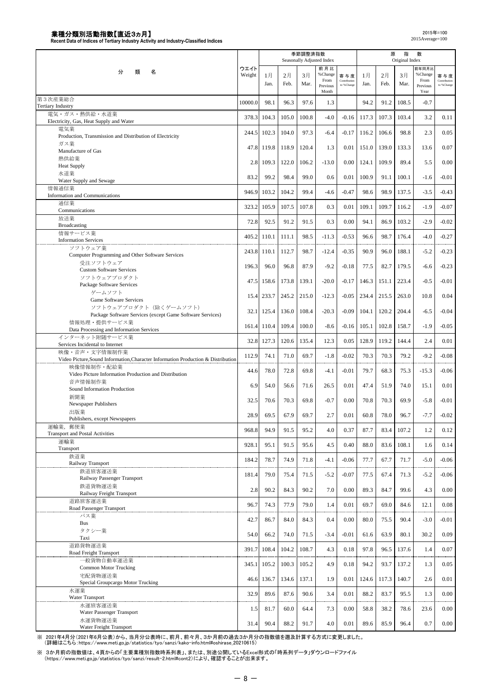|                                                                                                 |                |       |       | 季節調整済指数 | Seasonally Adjusted Index |                     |       | 原     | 指<br>Original Index | 数                        |                     |
|-------------------------------------------------------------------------------------------------|----------------|-------|-------|---------|---------------------------|---------------------|-------|-------|---------------------|--------------------------|---------------------|
| 分<br>類<br>名                                                                                     | ウエイト<br>Weight | 1月    | 2月    | 3月      | 前月比<br>% Change<br>From   | 寄与度<br>Contribution | 1月    | 2月    | 3月                  | 前年同月比<br>%Change<br>From | 寄与度<br>Contribution |
|                                                                                                 |                | Jan.  | Feb.  | Mar.    | Previous<br>Month         | to %Change          | Jan.  | Feb.  | Mar.                | Previous<br>Year         | to %Change          |
| 第3次産業総合<br><b>Tertiary Industry</b>                                                             | 10000.0        | 98.1  | 96.3  | 97.6    | 1.3                       |                     | 94.2  | 91.2  | 108.5               | $-0.7$                   |                     |
| 電気・ガス・熱供給・水道業<br>Electricity, Gas, Heat Supply and Water                                        | 378.3          | 104.3 | 105.0 | 100.8   | $-4.0$                    | $-0.16$             | 117.3 | 107.3 | 103.4               | 3.2                      | 0.11                |
| 電気業                                                                                             | 244.5          | 102.3 | 104.0 | 97.3    | $-6.4$                    | $-0.17$             | 116.2 | 106.6 | 98.8                | 2.3                      | 0.05                |
| Production, Transmission and Distribution of Electricity<br>ガス業                                 | 47.8           | 119.8 | 118.9 | 120.4   | 1.3                       | 0.01                | 151.0 | 139.0 | 133.3               | 13.6                     | 0.07                |
| Manufacture of Gas<br>熱供給業                                                                      |                |       |       |         |                           |                     |       |       |                     |                          |                     |
| <b>Heat Supply</b><br>水道業                                                                       | 2.8            | 109.3 | 122.0 | 106.2   | $-13.0$                   | 0.00                | 124.1 | 109.9 | 89.4                | 5.5                      | 0.00                |
| Water Supply and Sewage                                                                         | 83.2           | 99.2  | 98.4  | 99.0    | 0.6                       | 0.01                | 100.9 | 91.1  | 100.1               | $-1.6$                   | $-0.01$             |
| 情報通信業<br>Information and Communications                                                         | 946.9          | 103.2 | 104.2 | 99.4    | $-4.6$                    | $-0.47$             | 98.6  | 98.9  | 137.5               | $-3.5$                   | $-0.43$             |
| 通信業<br>Communications                                                                           | 323.2          | 105.9 | 107.5 | 107.8   | 0.3                       | 0.01                | 109.1 | 109.7 | 116.2               | $-1.9$                   | $-0.07$             |
| 放送業                                                                                             | 72.8           | 92.5  | 91.2  | 91.5    | 0.3                       | 0.00                | 94.1  | 86.9  | 103.2               | $-2.9$                   | $-0.02$             |
| Broadcasting<br>情報サービス業                                                                         | 405.2          | 110.1 | 111.1 | 98.5    | $-11.3$                   | $-0.53$             | 96.6  | 98.7  | 176.4               | $-4.0$                   | $-0.27$             |
| <b>Information Services</b><br>ソフトウェア業                                                          |                |       |       |         |                           |                     |       |       |                     |                          |                     |
| Computer Programming and Other Software Services                                                | 243.8          | 110.1 | 112.7 | 98.7    | $-12.4$                   | $-0.35$             | 90.9  | 96.0  | 188.1               | $-5.2$                   | $-0.23$             |
| 受注ソフトウェア<br><b>Custom Software Services</b>                                                     | 196.3          | 96.0  | 96.8  | 87.9    | $-9.2$                    | $-0.18$             | 77.5  | 82.7  | 179.5               | $-6.6$                   | $-0.23$             |
| ソフトウェアプロダクト<br>Package Software Services                                                        | 47.5           | 158.6 | 173.8 | 139.1   | $-20.0$                   | $-0.17$             | 146.3 | 151.1 | 223.4               | $-0.5$                   | $-0.01$             |
| ゲームソフト                                                                                          | 15.4           | 233.7 | 245.2 | 215.0   | $-12.3$                   | $-0.05$             | 234.4 | 215.5 | 263.0               | 10.8                     | 0.04                |
| Game Software Services<br>ソフトウェアプロダクト (除くゲームソフト)                                                |                |       |       |         |                           |                     |       |       |                     |                          |                     |
| Package Software Services (except Game Software Services)                                       | 32.1           | 125.4 | 136.0 | 108.4   | $-20.3$                   | $-0.09$             | 104.1 | 120.2 | 204.4               | $-6.5$                   | $-0.04$             |
| 情報処理・提供サービス業<br>Data Processing and Information Services                                        | 161.4          | 110.4 | 109.4 | 100.0   | $-8.6$                    | $-0.16$             | 105.1 | 102.8 | 158.7               | $-1.9$                   | $-0.05$             |
| インターネット附随サービス業<br>Services Incidental to Internet                                               | 32.8           | 127.3 | 120.6 | 135.4   | 12.3                      | 0.05                | 128.9 | 119.2 | 144.4               | 2.4                      | 0.01                |
| 映像・音声・文字情報制作業                                                                                   | 112.9          | 74.1  | 71.0  | 69.7    | $-1.8$                    | $-0.02$             | 70.3  | 70.3  | 79.2                | $-9.2$                   | $-0.08$             |
| Video Picture, Sound Information, Character Information Production & Distribution<br>映像情報制作・配給業 | 44.6           | 78.0  | 72.8  | 69.8    | $-4.1$                    | $-0.01$             | 79.7  | 68.3  | 75.3                | $-15.3$                  | $-0.06$             |
| Video Picture Information Production and Distribution<br>音声情報制作業                                |                |       |       |         |                           |                     |       |       |                     |                          |                     |
| Sound Information Production                                                                    | 6.9            | 54.0  | 56.6  | 71.6    | 26.5                      | 0.01                | 47.4  | 51.9  | 74.0                | 15.1                     | 0.01                |
| 新聞業<br>Newspaper Publishers                                                                     | 32.5           | 70.6  | 70.3  | 69.8    | $-0.7$                    | 0.00                | 70.8  | 70.3  | 69.9                | $-5.8$                   | $-0.01$             |
| 出版業<br>Publishers, except Newspapers                                                            | 28.9           | 69.5  | 67.9  | 69.7    | 2.7                       | 0.01                | 60.8  | 78.0  | 96.7                | $-7.7$                   | $-0.02$             |
| 運輸業, 郵便業                                                                                        | 968.8          | 94.9  | 91.5  | 95.2    | 4.0                       | 0.37                | 87.7  | 83.4  | 107.2               | 1.2                      | 0.12                |
| <b>Transport and Postal Activities</b><br>運輸業                                                   | 928.1          | 95.1  | 91.5  | 95.6    | 4.5                       | 0.40                | 88.0  | 83.6  | 108.1               | 1.6                      | 0.14                |
| Transport<br>鉄道業                                                                                |                |       |       |         |                           |                     |       |       |                     |                          |                     |
| Railway Transport                                                                               | 184.2          | 78.7  | 74.9  | 71.8    | $-4.1$                    | $-0.06$             | 77.7  | 67.7  | 71.7                | $-5.0$                   | $-0.06$             |
| 鉄道旅客運送業<br>Railway Passenger Transport                                                          | 181.4          | 79.0  | 75.4  | 71.5    | $-5.2$                    | $-0.07$             | 77.5  | 67.4  | 71.3                | $-5.2$                   | $-0.06$             |
| 鉄道貨物運送業<br>Railway Freight Transport                                                            | 2.8            | 90.2  | 84.3  | 90.2    | 7.0                       | 0.00                | 89.3  | 84.7  | 99.6                | 4.3                      | 0.00                |
| 道路旅客運送業<br>Road Passenger Transport                                                             | 96.7           | 74.3  | 77.9  | 79.0    | 1.4                       | 0.01                | 69.7  | 69.0  | 84.6                | 12.1                     | 0.08                |
| バス業                                                                                             | 42.7           | 86.7  | 84.0  | 84.3    | 0.4                       | 0.00                | 80.0  | 75.5  | 90.4                | $-3.0$                   | $-0.01$             |
| <b>Bus</b><br>タクシー業                                                                             |                |       |       |         |                           |                     |       |       |                     |                          |                     |
| Taxi                                                                                            | 54.0           | 66.2  | 74.0  | 71.5    | $-3.4$                    | $-0.01$             | 61.6  | 63.9  | 80.1                | 30.2                     | 0.09                |
| 道路貨物運送業<br>Road Freight Transport                                                               | 391.7          | 108.4 | 104.2 | 108.7   | 4.3                       | 0.18                | 97.8  | 96.5  | 137.6               | 1.4                      | 0.07                |
| 一般貨物自動車運送業<br><b>Common Motor Trucking</b>                                                      | 345.1          | 105.2 | 100.3 | 105.2   | 4.9                       | 0.18                | 94.2  | 93.7  | 137.2               | 1.3                      | 0.05                |
| 宅配貨物運送業                                                                                         | 46.6           | 136.7 | 134.6 | 137.1   | 1.9                       | 0.01                | 124.6 | 117.3 | 140.7               | 2.6                      | 0.01                |
| Special Groupcargo Motor Trucking<br>水運業                                                        |                |       |       |         |                           |                     |       |       |                     | 1.3                      |                     |
| Water Transport<br>水運旅客運送業                                                                      | 32.9           | 89.6  | 87.6  | 90.6    | 3.4                       | 0.01                | 88.2  | 83.7  | 95.5                |                          | 0.00                |
| Water Passenger Transport                                                                       | 1.5            | 81.7  | 60.0  | 64.4    | 7.3                       | 0.00                | 58.8  | 38.2  | 78.6                | 23.6                     | 0.00                |
| 水運貨物運送業<br>Water Freight Transport                                                              | 31.4           | 90.4  | 88.2  | 91.7    | 4.0                       | 0.01                | 89.6  | 85.9  | 96.4                | 0.7                      | 0.00                |

※ 2021年4月分(2021年6月公表)から、当月分公表時に、前月、前々月、3か月前の過去3か月分の指数値を遡及計算する方式に変更しました。<br>(詳細はこちら:https://www.meti.go.jp/statistics/tyo/sanzi/kako-info.html#oshirase\_20210615)

※ 3か月前の指数値は、4頁からの「主要業種別指数時系列表」、または、別途公開しているExcel形式の「時系列データ」ダウンロードファイル<br>(https://www.meti.go.jp/statistics/tyo/sanzi/result-2.html#cont2)により、確認することが出来ます。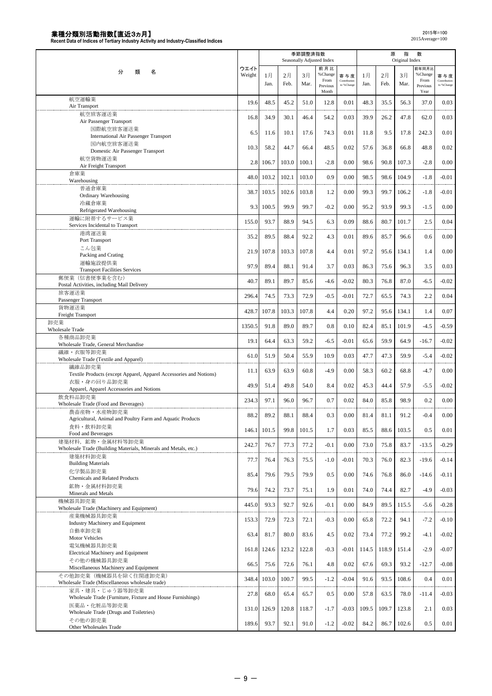|                                                                    |        |       |       | 季節調整済指数<br>Seasonally Adjusted Index |                  |                            |       | 原     | 指<br>Original Index | 数                |                            |
|--------------------------------------------------------------------|--------|-------|-------|--------------------------------------|------------------|----------------------------|-------|-------|---------------------|------------------|----------------------------|
|                                                                    | ウエイト   |       |       |                                      | 前月比              |                            |       |       |                     | 前年同月比            |                            |
| 分<br>類<br>名                                                        | Weight | 1月    | 2月    | 3月                                   | % Change         | 寄与度                        | 1月    | 2月    | 3月                  | %Change          | 寄与度                        |
|                                                                    |        | Jan.  | Feb.  | Mar.                                 | From<br>Previous | Contribution<br>to %Change | Jan.  | Feb.  | Mar.                | From<br>Previous | Contribution<br>to %Change |
|                                                                    |        |       |       |                                      | Month            |                            |       |       |                     | Year             |                            |
| 航空運輸業                                                              | 19.6   | 48.5  | 45.2  | 51.0                                 | 12.8             | 0.01                       | 48.3  | 35.5  | 56.3                | 37.0             | 0.03                       |
| Air Transport                                                      |        |       |       |                                      |                  |                            |       |       |                     |                  |                            |
| 航空旅客運送業                                                            | 16.8   | 34.9  | 30.1  | 46.4                                 | 54.2             | 0.03                       | 39.9  | 26.2  | 47.8                | 62.0             | 0.03                       |
| Air Passenger Transport                                            |        |       |       |                                      |                  |                            |       |       |                     |                  |                            |
| 国際航空旅客運送業<br>International Air Passenger Transport                 | 6.5    | 11.6  | 10.1  | 17.6                                 | 74.3             | 0.01                       | 11.8  | 9.5   | 17.8                | 242.3            | 0.01                       |
| 国内航空旅客運送業                                                          |        |       |       |                                      |                  |                            |       |       |                     |                  |                            |
| Domestic Air Passenger Transport                                   | 10.3   | 58.2  | 44.7  | 66.4                                 | 48.5             | 0.02                       | 57.6  | 36.8  | 66.8                | 48.8             | 0.02                       |
| 航空貨物運送業                                                            |        |       |       |                                      |                  |                            |       |       |                     |                  |                            |
| Air Freight Transport                                              | 2.8    | 106.7 | 103.0 | 100.1                                | $-2.8$           | 0.00                       | 98.6  | 90.8  | 107.3               | $-2.8$           | 0.00                       |
| 倉庫業                                                                |        |       |       |                                      |                  |                            |       |       |                     |                  |                            |
| Warehousing                                                        | 48.0   | 103.2 | 102.1 | 103.0                                | 0.9              | 0.00                       | 98.5  | 98.6  | 104.9               | $-1.8$           | $-0.01$                    |
| 普通倉庫業                                                              | 38.7   | 103.5 | 102.6 | 103.8                                | 1.2              | 0.00                       | 99.3  | 99.7  | 106.2               | $-1.8$           | $-0.01$                    |
| Ordinary Warehousing                                               |        |       |       |                                      |                  |                            |       |       |                     |                  |                            |
| 冷蔵倉庫業                                                              | 9.3    | 100.5 | 99.9  | 99.7                                 | $-0.2$           | 0.00                       | 95.2  | 93.9  | 99.3                | $-1.5$           | 0.00                       |
| Refrigerated Warehousing                                           |        |       |       |                                      |                  |                            |       |       |                     |                  |                            |
| 運輸に附帯するサービス業                                                       | 155.0  | 93.7  | 88.9  | 94.5                                 | 6.3              | 0.09                       | 88.6  | 80.7  | 101.7               | 2.5              | 0.04                       |
| Services Incidental to Transport                                   |        |       |       |                                      |                  |                            |       |       |                     |                  |                            |
| 港湾運送業                                                              | 35.2   | 89.5  | 88.4  | 92.2                                 | 4.3              | 0.01                       | 89.6  | 85.7  | 96.6                | 0.6              | 0.00                       |
| Port Transport<br>こん包業                                             |        |       |       |                                      |                  |                            |       |       |                     |                  |                            |
| Packing and Crating                                                | 21.9   | 107.8 | 103.3 | 107.8                                | 4.4              | 0.01                       | 97.2  | 95.6  | 134.1               | 1.4              | 0.00                       |
| 運輸施設提供業                                                            |        |       |       |                                      |                  |                            |       |       |                     |                  |                            |
| <b>Transport Facilities Services</b>                               | 97.9   | 89.4  | 88.1  | 91.4                                 | 3.7              | 0.03                       | 86.3  | 75.6  | 96.3                | 3.5              | 0.03                       |
| 郵便業 (信書便事業を含む)                                                     |        |       |       |                                      |                  |                            |       |       |                     |                  |                            |
| Postal Activities, including Mail Delivery                         | 40.7   | 89.1  | 89.7  | 85.6                                 | $-4.6$           | $-0.02$                    | 80.3  | 76.8  | 87.0                | $-6.5$           | $-0.02$                    |
| 旅客運送業                                                              |        |       |       |                                      |                  |                            |       |       |                     |                  |                            |
| Passenger Transport                                                | 296.4  | 74.5  | 73.3  | 72.9                                 | $-0.5$           | $-0.01$                    | 72.7  | 65.5  | 74.3                | 2.2              | 0.04                       |
| 貨物運送業                                                              | 428.7  | 107.8 | 103.3 | 107.8                                | 4.4              | 0.20                       | 97.2  | 95.6  | 134.1               | 1.4              | 0.07                       |
| Freight Transport                                                  |        |       |       |                                      |                  |                            |       |       |                     |                  |                            |
| 卸売業                                                                | 1350.5 | 91.8  | 89.0  | 89.7                                 | 0.8              | 0.10                       | 82.4  | 85.1  | 101.9               | $-4.5$           | $-0.59$                    |
| <b>Wholesale Trade</b>                                             |        |       |       |                                      |                  |                            |       |       |                     |                  |                            |
| 各種商品卸売業                                                            | 19.1   | 64.4  | 63.3  | 59.2                                 | $-6.5$           | $-0.01$                    | 65.6  | 59.9  | 64.9                | $-16.7$          | $-0.02$                    |
| Wholesale Trade, General Merchandise                               |        |       |       |                                      |                  |                            |       |       |                     |                  |                            |
| 繊維・衣服等卸売業<br>Wholesale Trade (Textile and Apparel)                 | 61.0   | 51.9  | 50.4  | 55.9                                 | 10.9             | 0.03                       | 47.7  | 47.3  | 59.9                | $-5.4$           | $-0.02$                    |
| 繊維品卸売業                                                             |        |       |       |                                      |                  |                            |       |       |                     |                  |                            |
| Textile Products (except Apparel, Apparel Accessories and Notions) | 11.1   | 63.9  | 63.9  | 60.8                                 | $-4.9$           | 0.00                       | 58.3  | 60.2  | 68.8                | $-4.7$           | 0.00                       |
| 衣服・身の回り品卸売業                                                        |        |       |       |                                      |                  |                            |       |       |                     |                  |                            |
| Apparel, Apparel Accessories and Notions                           | 49.9   | 51.4  | 49.8  | 54.0                                 | 8.4              | 0.02                       | 45.3  | 44.4  | 57.9                | $-5.5$           | $-0.02$                    |
| 飲食料品卸売業                                                            |        |       |       |                                      |                  |                            |       |       |                     |                  |                            |
| Wholesale Trade (Food and Beverages)                               | 234.3  | 97.1  | 96.0  | 96.7                                 | 0.7              | 0.02                       | 84.0  | 85.8  | 98.9                | 0.2              | 0.00                       |
| 農畜産物・水産物卸売業                                                        | 88.2   | 89.2  | 88.1  | 88.4                                 | 0.3              | 0.00                       | 81.4  | 81.1  | 91.2                | $-0.4$           | 0.00                       |
| Agricultural, Animal and Poultry Farm and Aquatic Products         |        |       |       |                                      |                  |                            |       |       |                     |                  |                            |
| 食料·飲料卸売業                                                           | 146.1  | 101.5 | 99.8  | 101.5                                | 1.7              | 0.03                       | 85.5  | 88.6  | 103.5               | 0.5              | 0.01                       |
| Food and Beverages                                                 |        |       |       |                                      |                  |                            |       |       |                     |                  |                            |
| 建築材料, 鉱物·金属材料等卸売業                                                  | 242.7  | 76.7  | 77.3  | 77.2                                 | $-0.1$           | 0.00                       | 73.0  | 75.8  | 83.7                | $-13.5$          | $-0.29$                    |
| Wholesale Trade (Building Materials, Minerals and Metals, etc.)    |        |       |       |                                      |                  |                            |       |       |                     |                  |                            |
| 建築材料卸売業                                                            | 77.7   | 76.4  | 76.3  | 75.5                                 | $-1.0$           | $-0.01$                    | 70.3  | 76.0  | 82.3                | $-19.6$          | $-0.14$                    |
| <b>Building Materials</b><br>化学製品卸売業                               |        |       |       |                                      |                  |                            |       |       |                     |                  |                            |
| Chemicals and Related Products                                     | 85.4   | 79.6  | 79.5  | 79.9                                 | 0.5              | 0.00                       | 74.6  | 76.8  | 86.0                | $-14.6$          | $-0.11$                    |
| 鉱物·金属材料卸売業                                                         |        |       |       |                                      |                  |                            |       |       |                     |                  |                            |
| Minerals and Metals                                                | 79.6   | 74.2  | 73.7  | 75.1                                 | 1.9              | 0.01                       | 74.0  | 74.4  | 82.7                | $-4.9$           | $-0.03$                    |
| 機械器具卸売業                                                            |        |       |       |                                      |                  |                            |       |       |                     |                  |                            |
| Wholesale Trade (Machinery and Equipment)                          | 445.0  | 93.3  | 92.7  | 92.6                                 | $-0.1$           | 0.00                       | 84.9  | 89.5  | 115.5               | $-5.6$           | $-0.28$                    |
| 産業機械器具卸売業                                                          |        |       |       |                                      |                  |                            |       |       |                     |                  |                            |
| Industry Machinery and Equipment                                   | 153.3  | 72.9  | 72.3  | 72.1                                 | $-0.3$           | 0.00                       | 65.8  | 72.2  | 94.1                | $-7.2$           | $-0.10$                    |
| 自動車卸売業                                                             | 63.4   | 81.7  | 80.0  | 83.6                                 | 4.5              | 0.02                       | 73.4  | 77.2  | 99.2                | $-4.1$           | $-0.02$                    |
| Motor Vehicles                                                     |        |       |       |                                      |                  |                            |       |       |                     |                  |                            |
| 電気機械器具卸売業                                                          | 161.8  | 124.6 | 123.2 | 122.8                                | $-0.3$           | $-0.01$                    | 114.5 | 118.9 | 151.4               | $-2.9$           | $-0.07$                    |
| Electrical Machinery and Equipment                                 |        |       |       |                                      |                  |                            |       |       |                     |                  |                            |
| その他の機械器具卸売業                                                        | 66.5   | 75.6  | 72.6  | 76.1                                 | 4.8              | 0.02                       | 67.6  | 69.3  | 93.2                | $-12.7$          | $-0.08$                    |
| Miscellaneous Machinery and Equipment                              |        |       |       |                                      |                  |                            |       |       |                     |                  |                            |
| その他卸売業(機械器具を除く住関連卸売業)                                              | 348.4  | 103.0 | 100.7 | 99.5                                 | $-1.2$           | $-0.04$                    | 91.6  | 93.5  | 108.6               | 0.4              | 0.01                       |
| Wholesale Trade (Miscellaneous wholesale trade)<br>家具・建具・じゅう器等卸売業  |        |       |       |                                      |                  |                            |       |       |                     |                  |                            |
| Wholesale Trade (Furniture, Fixture and House Furnishings)         | 27.8   | 68.0  | 65.4  | 65.7                                 | 0.5              | 0.00                       | 57.8  | 63.5  | 78.0                | $-11.4$          | $-0.03$                    |
| 医薬品·化粧品等卸売業                                                        |        |       |       |                                      |                  |                            |       |       |                     |                  |                            |
| Wholesale Trade (Drugs and Toiletries)                             | 131.0  | 126.9 | 120.8 | 118.7                                | $-1.7$           | $-0.03$                    | 109.5 | 109.7 | 123.8               | 2.1              | 0.03                       |
| その他の卸売業                                                            |        |       |       |                                      |                  |                            |       |       |                     |                  |                            |
| Other Wholesales Trade                                             | 189.6  | 93.7  | 92.1  | 91.0                                 | $-1.2$           | $-0.02$                    | 84.2  | 86.7  | 102.6               | 0.5              | 0.01                       |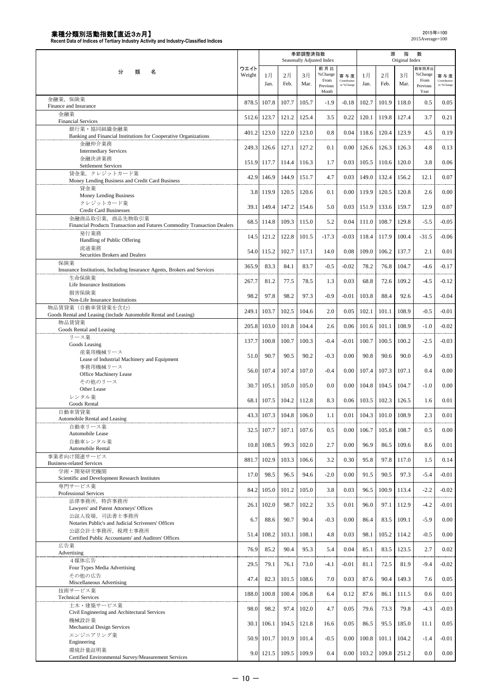|                                                                                      |                |             |            | 季節調整済指数    | Seasonally Adjusted Index |                                   |            | 原          | 指<br>Original Index | 数                |                                   |
|--------------------------------------------------------------------------------------|----------------|-------------|------------|------------|---------------------------|-----------------------------------|------------|------------|---------------------|------------------|-----------------------------------|
| 分<br>名<br>類                                                                          | ウエイト<br>Weight |             |            |            | 前月比<br>% Change           |                                   |            |            |                     | 前年同月比<br>%Change |                                   |
|                                                                                      |                | 1月<br>Jan.  | 2月<br>Feb. | 3月<br>Mar. | From<br>Previous          | 寄与度<br>Contribution<br>to %Change | 1月<br>Jan. | 2月<br>Feb. | 3月<br>Mar.          | From<br>Previous | 寄与度<br>Contribution<br>to %Change |
|                                                                                      |                |             |            |            | Month                     |                                   |            |            |                     | Year             |                                   |
| 金融業, 保険業<br>Finance and Insurance                                                    | 878.5          | 107.8       | 107.7      | 105.7      | $-1.9$                    | $-0.18$                           | 102.7      | 101.9      | 118.0               | 0.5              | 0.05                              |
| 金融業<br><b>Financial Services</b>                                                     | 512.6          | 123.7       | 121.2      | 125.4      | 3.5                       | 0.22                              | 120.1      | 119.8      | 127.4               | 3.7              | 0.21                              |
| 銀行業・協同組織金融業<br>Banking and Financial Institutions for Cooperative Organizations      | 401.2          | 123.0       | 122.0      | 123.0      | 0.8                       | 0.04                              | 118.6      | 120.4      | 123.9               | 4.5              | 0.19                              |
| 金融仲介業務<br><b>Intermediary Services</b>                                               | 249.3          | 126.6       | 127.1      | 127.2      | 0.1                       | 0.00                              | 126.6      | 126.3      | 126.3               | 4.8              | 0.13                              |
| 金融決済業務                                                                               | 151.9          | 117.7       | 114.4      | 116.3      | 1.7                       | 0.03                              | 105.5      | 110.6      | 120.0               | 3.8              | 0.06                              |
| Settlement Services<br>貸金業、クレジットカード業                                                 | 42.9           | 146.9       | 144.9      | 151.7      | 4.7                       | 0.03                              | 149.0      | 132.4      | 156.2               | 12.1             | 0.07                              |
| Money Lending Business and Credit Card Business<br>貸金業                               | 3.8            | 119.9       | 120.5      | 120.6      | 0.1                       | 0.00                              | 119.9      | 120.5      | 120.8               | 2.6              | 0.00                              |
| Money Lending Business<br>クレジットカード業                                                  |                | 39.1 149.4  | 147.2      | 154.6      | 5.0                       | 0.03                              | 151.9      | 133.6      | 159.7               | 12.9             | 0.07                              |
| <b>Credit Card Businesses</b><br>金融商品取引業, 商品先物取引業                                    |                |             |            |            |                           |                                   |            |            |                     |                  |                                   |
| Financial Products Transaction and Futures Commodity Transaction Dealers             | 68.5           | 114.8       | 109.3      | 115.0      | 5.2                       | 0.04                              | 111.0      | 108.7      | 129.8               | $-5.5$           | $-0.05$                           |
| 発行業務<br>Handling of Public Offering                                                  | 14.5           | 121.2       | 122.8      | 101.5      | $-17.3$                   | $-0.03$                           | 118.4      | 117.9      | 100.4               | $-31.5$          | $-0.06$                           |
| 流通業務<br>Securities Brokers and Dealers                                               | 54.0           | 115.2       | 102.7      | 117.1      | 14.0                      | 0.08                              | 109.0      | 106.2      | 137.7               | 2.1              | 0.01                              |
| 保険業<br>Insurance Institutions, Including Insurance Agents, Brokers and Services      | 365.9          | 83.3        | 84.1       | 83.7       | $-0.5$                    | $-0.02$                           | 78.2       | 76.8       | 104.7               | $-4.6$           | $-0.17$                           |
| 生命保険業<br>Life Insurance Institutions                                                 | 267.7          | 81.2        | 77.5       | 78.5       | 1.3                       | 0.03                              | 68.8       | 72.6       | 109.2               | $-4.5$           | $-0.12$                           |
| 損害保険業<br>Non-Life Insurance Institutions                                             | 98.2           | 97.8        | 98.2       | 97.3       | $-0.9$                    | $-0.01$                           | 103.8      | 88.4       | 92.6                | $-4.5$           | $-0.04$                           |
| 物品賃貸業(自動車賃貸業を含む)<br>Goods Rental and Leasing (include Automobile Rental and Leasing) | 249.1          | 103.7       | 102.5      | 104.6      | 2.0                       | 0.05                              | 102.1      | 101.1      | 108.9               | $-0.5$           | $-0.01$                           |
| 物品賃貸業<br>Goods Rental and Leasing                                                    | 205.8          | 103.0       | 101.8      | 104.4      | 2.6                       | 0.06                              | 101.6      | 101.1      | 108.9               | $-1.0$           | $-0.02$                           |
| リース業<br>Goods Leasing                                                                | 137.7          | 100.8       | 100.7      | 100.3      | $-0.4$                    | $-0.01$                           | 100.7      | 100.5      | 100.2               | $-2.5$           | $-0.03$                           |
| 産業用機械リース<br>Lease of Industrial Machinery and Equipment                              | 51.0           | 90.7        | 90.5       | 90.2       | $-0.3$                    | 0.00                              | 90.8       | 90.6       | 90.0                | $-6.9$           | $-0.03$                           |
| 事務用機械リース                                                                             |                | 56.0 107.4  | 107.4      | 107.0      | $-0.4$                    | 0.00                              | 107.4      | 107.3      | 107.1               | 0.4              | 0.00                              |
| Office Machinery Lease<br>その他のリース                                                    |                | 30.7 105.1  | 105.0      | 105.0      | 0.0                       | 0.00                              | 104.8      | 104.5      | 104.7               | $-1.0$           | 0.00                              |
| Other Lease<br>レンタル業                                                                 |                |             |            |            |                           |                                   |            |            |                     |                  |                                   |
| Goods Rental                                                                         | 68.1           | 107.5       | 104.2      | 112.8      | 8.3                       | 0.06                              | 103.5      | 102.3      | 126.5               | 1.6              | 0.01                              |
| 自動車賃貸業<br>Automobile Rental and Leasing                                              |                | 43.3 107.3  | 104.8      | 106.0      | 1.1                       | 0.01                              | 104.3      | 101.0      | 108.9               | 2.3              | 0.01                              |
| 自動車リース業<br>Automobile Lease                                                          |                | 32.5 107.7  | 107.1      | 107.6      | 0.5                       | 0.00                              | 106.7      | 105.8      | 108.7               | 0.5              | 0.00                              |
| 自動車レンタル業<br>Automobile Rental                                                        |                | 10.8 108.5  | 99.3       | 102.0      | 2.7                       | 0.00                              | 96.9       | 86.5       | 109.6               | 8.6              | 0.01                              |
| 事業者向け関連サービス                                                                          |                | 881.7 102.9 | 103.3      | 106.6      | 3.2                       | 0.30                              | 95.8       | 97.8       | 117.0               | 1.5              | 0.14                              |
| <b>Business-related Services</b><br>学術·開発研究機関                                        | 17.0           | 98.5        | 96.5       | 94.6       | $-2.0$                    | 0.00                              | 91.5       | 90.5       | 97.3                | $-5.4$           | $-0.01$                           |
| Scientific and Development Research Institutes<br>専門サービス業                            | 84.2           | 105.0       | 101.2      | 105.0      | 3.8                       | 0.03                              | 96.5       | 100.9      | 113.4               | $-2.2$           | $-0.02$                           |
| Professional Services<br>法律事務所, 特許事務所                                                |                |             |            |            |                           |                                   |            |            |                     |                  |                                   |
| Lawyers' and Patent Attorneys' Offices<br>公証人役場、司法書士事務所                              | 26.1           | 102.0       | 98.7       | 102.2      | 3.5                       | 0.01                              | 96.0       | 97.1       | 112.9               | $-4.2$           | $-0.01$                           |
| Notaries Public's and Judicial Scriveners' Offices<br>公認会計士事務所,税理士事務所                | 6.7            | 88.6        | 90.7       | 90.4       | $-0.3$                    | 0.00                              | 86.4       | 83.5       | 109.1               | $-5.9$           | 0.00                              |
| Certified Public Accountants' and Auditors' Offices                                  | 51.4           | 108.2       | 103.1      | 108.1      | 4.8                       | 0.03                              | 98.1       | 105.2      | 114.2               | $-0.5$           | 0.00                              |
| 広告業<br>Advertising                                                                   | 76.9           | 85.2        | 90.4       | 95.3       | 5.4                       | 0.04                              | 85.1       | 83.5       | 123.5               | 2.7              | 0.02                              |
| 4媒体広告<br>Four Types Media Advertising                                                | 29.5           | 79.1        | 76.1       | 73.0       | $-4.1$                    | $-0.01$                           | 81.1       | 72.5       | 81.9                | $-9.4$           | $-0.02$                           |
| その他の広告<br>Miscellaneous Advertising                                                  | 47.4           | 82.3        | 101.5      | 108.6      | 7.0                       | 0.03                              | 87.6       | 90.4       | 149.3               | 7.6              | 0.05                              |
| 技術サービス業<br><b>Technical Services</b>                                                 | 188.0          | 100.8       | 100.4      | 106.8      | 6.4                       | 0.12                              | 87.6       | 86.1       | 111.5               | 0.6              | 0.01                              |
| 土木・建築サービス業<br>Civil Engineering and Architectural Services                           | 98.0           | 98.2        | 97.4       | 102.0      | 4.7                       | 0.05                              | 79.6       | 73.3       | 79.8                | $-4.3$           | $-0.03$                           |
| 機械設計業<br>Mechanical Design Services                                                  |                | 30.1 106.1  | 104.5      | 121.8      | 16.6                      | 0.05                              | 86.5       | 95.5       | 185.0               | 11.1             | 0.05                              |
| エンジニアリング業                                                                            |                | 50.9 101.7  | 101.9      | 101.4      | $-0.5$                    | 0.00                              | 100.8      | 101.1      | 104.2               | $-1.4$           | $-0.01$                           |
| Engineering<br>環境計量証明業                                                               |                |             |            | 109.9      | 0.4                       | 0.00                              |            | 109.8      | 251.2               | 0.0              | 0.00                              |
| Certified Environmental Survey/Measurement Services                                  |                | 9.0 121.5   | 109.5      |            |                           |                                   | 103.2      |            |                     |                  |                                   |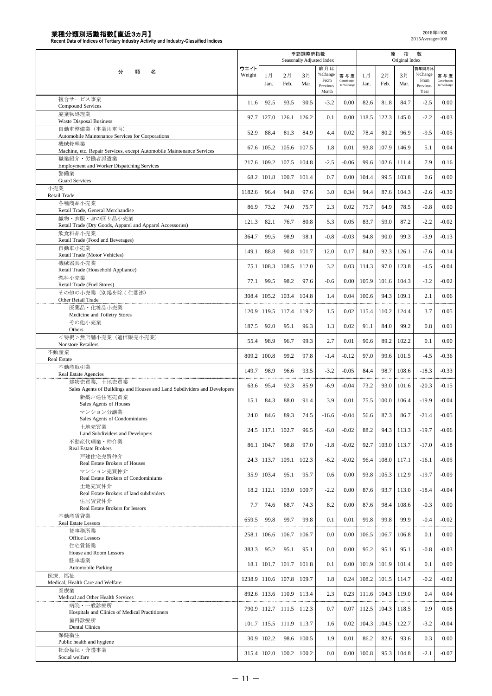|                                                                                         |                |             |            | 季節調整済指数    | Seasonally Adjusted Index                    |                                  |            | 原          | 指<br>Original Index | 数                                            |                                   |
|-----------------------------------------------------------------------------------------|----------------|-------------|------------|------------|----------------------------------------------|----------------------------------|------------|------------|---------------------|----------------------------------------------|-----------------------------------|
| 類<br>名<br>分                                                                             | ウエイト<br>Weight | 1月<br>Jan.  | 2月<br>Feb. | 3月<br>Mar. | 前月比<br>% Change<br>From<br>Previous<br>Month | 寄与度<br>Contribution<br>to %Chang | 1月<br>Jan. | 2月<br>Feb. | 3月<br>Mar.          | 前年同月出<br>%Change<br>From<br>Previous<br>Year | 寄与度<br>Contribution<br>to %Change |
| 複合サービス事業<br>Compound Services                                                           | 11.6           | 92.5        | 93.5       | 90.5       | $-3.2$                                       | 0.00                             | 82.6       | 81.8       | 84.7                | $-2.5$                                       | 0.00                              |
| 廃棄物処理業<br><b>Waste Disposal Business</b>                                                | 97.7           | 127.0       | 126.1      | 126.2      | 0.1                                          | 0.00                             | 118.5      | 122.3      | 145.0               | $-2.2$                                       | $-0.03$                           |
| 自動車整備業 (事業用車両)<br>Automobile Maintenance Services for Corporations                      | 52.9           | 88.4        | 81.3       | 84.9       | 4.4                                          | 0.02                             | 78.4       | 80.2       | 96.9                | $-9.5$                                       | $-0.05$                           |
| 機械修理業                                                                                   | 67.6           | 105.2       | 105.6      | 107.5      | 1.8                                          | 0.01                             | 93.8       | 107.9      | 146.9               | 5.1                                          | 0.04                              |
| Machine, etc. Repair Services, except Automobile Maintenance Services<br>職業紹介・労働者派遣業    | 217.6          | 109.2       | 107.5      | 104.8      | $-2.5$                                       | $-0.06$                          | 99.6       | 102.6      | 111.4               | 7.9                                          | 0.16                              |
| <b>Employment and Worker Dispatching Services</b><br>警備業                                | 68.2           | 101.8       | 100.7      | 101.4      | 0.7                                          | 0.00                             | 104.4      | 99.5       | 103.8               | 0.6                                          | 0.00                              |
| <b>Guard Services</b><br>小売業                                                            | 1182.6         | 96.4        | 94.8       | 97.6       | 3.0                                          | 0.34                             | 94.4       | 87.6       | 104.3               | $-2.6$                                       | $-0.30$                           |
| Retail Trade<br>各種商品小売業                                                                 | 86.9           | 73.2        | 74.0       | 75.7       | 2.3                                          | 0.02                             | 75.7       | 64.9       | 78.5                | $-0.8$                                       | 0.00                              |
| Retail Trade, General Merchandise<br>織物・衣服・身の回り品小売業                                     | 121.3          | 82.1        | 76.7       | 80.8       | 5.3                                          | 0.05                             | 83.7       | 59.0       | 87.2                | $-2.2$                                       | $-0.02$                           |
| Retail Trade (Dry Goods, Apparel and Apparel Accessories)<br>飲食料品小売業                    | 364.7          | 99.5        | 98.9       | 98.1       | $-0.8$                                       | $-0.03$                          | 94.8       | 90.0       | 99.3                | $-3.9$                                       | $-0.13$                           |
| Retail Trade (Food and Beverages)<br>自動車小売業                                             |                |             |            |            |                                              |                                  |            |            |                     |                                              |                                   |
| Retail Trade (Motor Vehicles)<br>機械器具小売業                                                | 149.1          | 88.8        | 90.8       | 101.7      | 12.0                                         | 0.17                             | 84.0       | 92.3       | 126.1               | $-7.6$                                       | $-0.14$                           |
| Retail Trade (Household Appliance)<br>燃料小売業                                             | 75.1           | 108.3       | 108.5      | 112.0      | 3.2                                          | 0.03                             | 114.3      | 97.0       | 123.8               | $-4.5$                                       | $-0.04$                           |
| Retail Trade (Fuel Stores)<br>その他の小売業 (別掲を除く住関連)                                        | 77.1           | 99.5        | 98.2       | 97.6       | $-0.6$                                       | 0.00                             | 105.9      | 101.6      | 104.3               | $-3.2$                                       | $-0.02$                           |
| Other Retail Trade                                                                      | 308.4          | 105.2       | 103.4      | 104.8      | 1.4                                          | 0.04                             | 100.6      | 94.3       | 109.1               | 2.1                                          | 0.06                              |
| 医薬品·化粧品小売業<br>Medicine and Toiletry Stores                                              | 120.9          | 119.5       | 117.4      | 119.2      | 1.5                                          | 0.02                             | 115.4      | 110.2      | 124.4               | 3.7                                          | 0.05                              |
| その他小売業<br>Others                                                                        | 187.5          | 92.0        | 95.1       | 96.3       | 1.3                                          | 0.02                             | 91.1       | 84.0       | 99.2                | 0.8                                          | 0.01                              |
| <特掲>無店舗小売業(通信販売小売業)<br><b>Nonstore Retailers</b>                                        | 55.4           | 98.9        | 96.7       | 99.3       | 2.7                                          | 0.01                             | 90.6       | 89.2       | 102.2               | 0.1                                          | 0.00                              |
| 不動産業<br><b>Real Estate</b>                                                              | 809.2          | 100.8       | 99.2       | 97.8       | $-1.4$                                       | $-0.12$                          | 97.0       | 99.6       | 101.5               | $-4.5$                                       | $-0.36$                           |
| 不動産取引業<br>Real Estate Agencies                                                          | 149.7          | 98.9        | 96.6       | 93.5       | $-3.2$                                       | $-0.05$                          | 84.4       | 98.7       | 108.6               | $-18.3$                                      | $-0.33$                           |
| 建物売買業,土地売買業<br>Sales Agents of Buildings and Houses and Land Subdividers and Developers | 63.6           | 95.4        | 92.3       | 85.9       | $-6.9$                                       | $-0.04$                          | 73.2       | 93.0       | 101.6               | $-20.3$                                      | $-0.15$                           |
| 新築戸建住宅売買業<br>Sales Agents of Houses                                                     | 15.1           | 84.3        | 88.0       | 91.4       | 3.9                                          | 0.01                             | 75.5       | 100.0      | 106.4               | $-19.9$                                      | $-0.04$                           |
| マンション分譲業<br>Sales Agents of Condominiums                                                | 24.0           | 84.6        | 89.3       | 74.5       | $-16.6$                                      | $-0.04$                          | 56.6       | 87.3       | 86.7                | $-21.4$                                      | $-0.05$                           |
| 土地売買業                                                                                   |                | 24.5 117.1  | 102.7      | 96.5       | $-6.0$                                       | $-0.02$                          | 88.2       | 94.3       | 113.3               | $-19.7$                                      | $-0.06$                           |
| Land Subdividers and Developers<br>不動産代理業・仲介業                                           | 86.1           | 104.7       | 98.8       | 97.0       | $-1.8$                                       | $-0.02$                          | 92.7       | 103.0      | 113.7               | $-17.0$                                      | $-0.18$                           |
| Real Estate Brokers<br>戸建住宅売買仲介                                                         |                | 24.3 113.7  | 109.1      | 102.3      | $-6.2$                                       | $-0.02$                          | 96.4       | 108.0      | 117.1               | $-16.1$                                      | $-0.05$                           |
| Real Estate Brokers of Houses<br>マンション売買仲介                                              | 35.9           | 103.4       | 95.1       | 95.7       | 0.6                                          | 0.00                             | 93.8       | 105.3      | 112.9               | $-19.7$                                      | $-0.09$                           |
| Real Estate Brokers of Condominiums<br>土地売買仲介                                           |                |             |            |            |                                              |                                  |            |            |                     |                                              |                                   |
| Real Estate Brokers of land subdividers<br>住居賃貸仲介                                       | 18.2           | 112.1       | 103.0      | 100.7      | $-2.2$                                       | 0.00                             | 87.6       | 93.7       | 113.0               | $-18.4$                                      | $-0.04$                           |
| Real Estate Brokers for lessors<br>不動産賃貸業                                               | 7.7            | 74.6        | 68.7       | 74.3       | 8.2                                          | 0.00                             | 87.6       | 98.4       | 108.6               | $-0.3$                                       | 0.00                              |
| Real Estate Lessors<br>貸事務所業                                                            | 659.5          | 99.8        | 99.7       | 99.8       | 0.1                                          | 0.01                             | 99.8       | 99.8       | 99.9                | $-0.4$                                       | $-0.02$                           |
| Office Lessors<br>住宅賃貸業                                                                 | 258.1          | 106.6       | 106.7      | 106.7      | 0.0                                          | 0.00                             | 106.5      | 106.7      | 106.8               | 0.1                                          | 0.00                              |
| House and Room Lessors                                                                  | 383.3          | 95.2        | 95.1       | 95.1       | 0.0                                          | 0.00                             | 95.2       | 95.1       | 95.1                | $-0.8$                                       | $-0.03$                           |
| 駐車場業<br><b>Automobile Parking</b>                                                       | 18.1           | 101.7       | 101.7      | 101.8      | 0.1                                          | 0.00                             | 101.9      | 101.9      | 101.4               | 0.1                                          | 0.00                              |
| 医療, 福祉<br>Medical, Health Care and Welfare                                              | 1238.9         | 110.6       | 107.8      | 109.7      | 1.8                                          | 0.24                             | 108.2      | 101.5      | 114.7               | $-0.2$                                       | $-0.02$                           |
| 医療業<br>Medical and Other Health Services                                                | 892.6          | 113.6       | 110.9      | 113.4      | 2.3                                          | 0.23                             | 111.6      | 104.3      | 119.0               | 0.4                                          | 0.04                              |
| 病院・一般診療所<br>Hospitals and Clinics of Medical Practitioners                              | 790.9          | 112.7       | 111.5      | 112.3      | 0.7                                          | 0.07                             | 112.5      | 104.3      | 118.5               | 0.9                                          | 0.08                              |
| 歯科診療所<br><b>Dental Clinics</b>                                                          | 101.7          | 115.5       | 111.9      | 113.7      | 1.6                                          | 0.02                             | 104.3      | 104.5      | 122.7               | $-3.2$                                       | $-0.04$                           |
| 保健衛生<br>Public health and hygiene                                                       | 30.9           | 102.2       | 98.6       | 100.5      | 1.9                                          | 0.01                             | 86.2       | 82.6       | 93.6                | 0.3                                          | 0.00                              |
| 社会福祉・介護事業<br>Social welfare                                                             |                | 315.4 102.0 | 100.2      | 100.2      | 0.0                                          | $0.00\,$                         | 100.8      | 95.3       | 104.8               | $-2.1$                                       | $-0.07$                           |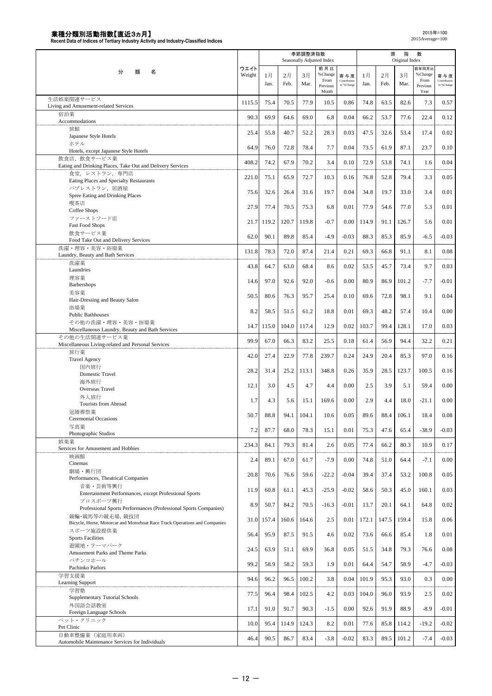|                                                                                              |                |            |            | 季節調整済指数    | Seasonally Adjusted Index           |                                   |            | 原          | 指<br>Original Index | 数                                    |                                   |
|----------------------------------------------------------------------------------------------|----------------|------------|------------|------------|-------------------------------------|-----------------------------------|------------|------------|---------------------|--------------------------------------|-----------------------------------|
| 分<br>類<br>名                                                                                  | ウエイト<br>Weight | 1月<br>Jan. | 2月<br>Feb. | 3月<br>Mar. | 前月比<br>% Change<br>From<br>Previous | 寄与度<br>Contribution<br>to %Change | 1月<br>Jan. | 2月<br>Feb. | 3月<br>Mar.          | 前年同月比<br>%Change<br>From<br>Previous | 寄与度<br>Contribution<br>to %Change |
| 生活娯楽関連サービス                                                                                   |                | 75.4       | 70.5       | 77.9       | Month<br>10.5                       | 0.86                              | 74.8       | 63.5       | 82.6                | Year<br>7.3                          |                                   |
| Living and Amusement-related Services<br>宿泊業                                                 | 1115.5         |            |            |            |                                     |                                   |            |            |                     |                                      | 0.57                              |
| Accommodations                                                                               | 90.3           | 69.9       | 64.6       | 69.0       | 6.8                                 | 0.04                              | 66.2       | 53.7       | 77.6                | 22.4                                 | 0.12                              |
| 旅館<br>Japanese Style Hotels                                                                  | 25.4           | 55.8       | 40.7       | 52.2       | 28.3                                | 0.03                              | 47.5       | 32.6       | 53.4                | 17.4                                 | 0.02                              |
| ホテル                                                                                          | 64.9           | 76.0       | 72.8       | 78.4       | 7.7                                 | 0.04                              | 73.5       | 61.9       | 87.1                | 23.7                                 | 0.10                              |
| Hotels, except Japanese Style Hotels<br>飲食店、飲食サービス業                                          |                |            |            |            |                                     |                                   |            |            |                     |                                      |                                   |
| Eating and Drinking Places, Take Out and Delivery Services                                   | 408.2          | 74.2       | 67.9       | 70.2       | 3.4                                 | 0.10                              | 72.9       | 53.8       | 74.1                | 1.6                                  | 0.04                              |
| 食堂、レストラン、専門店<br>Eating Places and Specialty Restaurants                                      | 221.0          | 75.1       | 65.9       | 72.7       | 10.3                                | 0.16                              | 76.8       | 52.8       | 79.4                | 3.3                                  | 0.05                              |
| パブレストラン、居酒屋                                                                                  | 75.6           | 32.6       | 26.4       | 31.6       | 19.7                                | 0.04                              | 34.8       | 19.7       | 33.0                | 3.4                                  | 0.01                              |
| Spree Eating and Drinking Places<br>喫茶店                                                      |                |            |            |            |                                     |                                   |            |            |                     |                                      |                                   |
| Coffee Shops                                                                                 | 27.9           | 77.4       | 70.5       | 75.3       | 6.8                                 | 0.01                              | 77.9       | 54.6       | 77.0                | 5.3                                  | 0.01                              |
| ファーストフード店<br><b>Fast Food Shops</b>                                                          | 21.7           | 119.2      | 120.7      | 119.8      | $-0.7$                              | 0.00                              | 114.9      | 91.1       | 126.7               | 5.6                                  | 0.01                              |
| 飲食サービス業<br>Food Take Out and Delivery Services                                               | 62.0           | 90.1       | 89.8       | 85.4       | $-4.9$                              | $-0.03$                           | 88.3       | 85.3       | 85.9                | $-6.5$                               | $-0.03$                           |
| 洗濯・理容・美容・浴場業                                                                                 | 131.8          | 78.3       | 72.0       | 87.4       | 21.4                                | 0.21                              | 69.3       | 66.8       | 91.1                | 8.1                                  | 0.08                              |
| Laundry, Beauty and Bath Services<br>洗濯業                                                     |                |            |            |            |                                     |                                   |            |            |                     |                                      |                                   |
| Laundries                                                                                    | 43.8           | 64.7       | 63.0       | 68.4       | 8.6                                 | 0.02                              | 53.5       | 45.7       | 73.4                | 9.7                                  | 0.03                              |
| 理容業<br>Barbershops                                                                           | 14.6           | 97.0       | 92.6       | 92.0       | $-0.6$                              | 0.00                              | 80.9       | 86.9       | 101.2               | $-7.7$                               | $-0.01$                           |
| 美容業                                                                                          | 50.5           | 80.6       | 76.3       | 95.7       | 25.4                                | 0.10                              | 69.6       | 72.8       | 98.1                | 9.1                                  | 0.04                              |
| Hair-Dressing and Beauty Salon<br>浴場業                                                        |                |            |            |            |                                     |                                   |            |            |                     |                                      |                                   |
| <b>Public Bathhouses</b>                                                                     | 8.2            | 58.5       | 51.5       | 61.2       | 18.8                                | 0.01                              | 69.3       | 48.2       | 57.4                | 10.4                                 | 0.00                              |
| その他の洗濯・理容・美容・浴場業<br>Miscellaneous Laundry, Beauty and Bath Services                          | 14.7           | 115.0      | 104.0      | 117.4      | 12.9                                | 0.02                              | 103.7      | 99.4       | 128.1               | 17.0                                 | 0.03                              |
| その他の生活関連サービス業                                                                                | 99.9           | 67.0       | 66.3       | 83.2       | 25.5                                | 0.18                              | 61.4       | 56.9       | 94.4                | 32.2                                 | 0.21                              |
| Miscellaneous Living-related and Personal Services<br>旅行業                                    |                |            |            |            |                                     |                                   |            |            |                     |                                      |                                   |
| <b>Travel Agency</b>                                                                         | 42.0           | 27.4       | 22.9       | 77.8       | 239.7                               | 0.24                              | 24.9       | 20.4       | 85.3                | 97.0                                 | 0.16                              |
| 国内旅行<br>Domestic Travel                                                                      | 28.2           | 31.4       | 25.2       | 113.1      | 348.8                               | 0.26                              | 35.9       | 28.5       | 123.7               | 100.5                                | 0.16                              |
| 海外旅行                                                                                         | 12.1           | 3.0        | 4.5        | 4.7        | 4.4                                 | 0.00                              | 2.5        | 3.9        | 5.1                 | 59.4                                 | 0.00                              |
| Overseas Travel<br>外人旅行                                                                      |                |            |            |            |                                     |                                   | 2.9        |            |                     | $-21.1$                              | 0.00                              |
| Tourists from Abroad                                                                         | 1.7            | 4.3        | 5.6        | 15.1       | 169.6                               | 0.00                              |            | 4.4        | 18.0                |                                      |                                   |
| 冠婚葬祭業<br><b>Ceremonial Occasions</b>                                                         | 50.7           | 88.8       | 94.1       | 104.1      | 10.6                                | 0.05                              | 89.6       | 88.4       | 106.1               | 18.4                                 | 0.08                              |
| 写真業<br>Photographic Studios                                                                  | 7.2            | 87.7       | 68.0       | 78.3       | 15.1                                | 0.01                              | 75.3       | 47.6       | 65.4                | $-38.9$                              | $-0.03$                           |
| 娯楽業                                                                                          | 234.3          | 84.1       | 79.3       | 81.4       | 2.6                                 | 0.05                              | 77.4       | 66.2       | 80.3                | 10.9                                 | 0.17                              |
| Services for Amusement and Hobbies<br>映画館                                                    |                |            |            |            |                                     |                                   |            |            |                     |                                      |                                   |
| Cinemas                                                                                      | 2.4            | 89.1       | 67.0       | 61.7       | $-7.9$                              | 0.00                              | 74.8       | 51.0       | 64.4                | $-7.1$                               | 0.00                              |
| 劇場・興行団<br>Performances, Theatrical Companies                                                 | 20.8           | 70.6       | 76.6       | 59.6       | $-22.2$                             | $-0.04$                           | 39.4       | 37.4       | 53.2                | 100.8                                | 0.05                              |
| 音楽·芸術等興行                                                                                     | 11.9           | 60.8       | 61.1       | 45.3       | $-25.9$                             | $-0.02$                           | 58.6       | 50.3       | 45.0                | 160.1                                | 0.03                              |
| Entertainment Performances, except Professional Sports<br>プロスポーツ興行                           |                |            |            |            |                                     |                                   |            |            |                     |                                      |                                   |
| Professional Sports Performances (Professional Sports Companies)                             | 8.9            | 50.7       | 84.2       | 70.5       | $-16.3$                             | $-0.01$                           | 13.7       | 20.1       | 64.1                | 64.8                                 | 0.02                              |
| 競輪・競馬等の競走場、競技団<br>Bicycle, Horse, Motorcar and Motorboat Race Track Operations and Companies | 31.0           | 157.4      | 160.6      | 164.6      | 2.5                                 | 0.01                              | 172.1      | 147.5      | 159.4               | 15.8                                 | 0.06                              |
| スポーツ施設提供業                                                                                    | 56.4           | 95.9       | 87.5       | 91.5       | 4.6                                 | 0.02                              | 73.6       | 66.6       | 85.4                | 1.8                                  | 0.01                              |
| <b>Sports Facilities</b><br>游園地・テーマパーク                                                       |                |            |            |            |                                     |                                   |            |            |                     |                                      |                                   |
| Amusement Parks and Theme Parks<br>パチンコホール                                                   | 24.5           | 63.9       | 51.1       | 69.9       | 36.8                                | 0.05                              | 51.5       | 34.8       | 79.3                | 76.6                                 | 0.08                              |
| Pachinko Parlors                                                                             | 99.2           | 58.9       | 58.2       | 59.3       | 1.9                                 | 0.01                              | 64.4       | 54.7       | 58.9                | $-4.7$                               | $-0.03$                           |
| 学習支援業<br>Learning Support                                                                    | 94.6           | 96.2       | 96.5       | 100.2      | 3.8                                 | 0.04                              | 101.9      | 95.3       | 93.0                | 0.3                                  | 0.00                              |
| 学習塾                                                                                          | 77.5           | 96.4       | 98.4       | 102.5      | 4.2                                 | 0.03                              | 104.0      | 96.0       | 93.9                | 2.5                                  | 0.02                              |
| Supplementary Tutorial Schools<br>外国語会話教室                                                    |                |            |            |            |                                     |                                   |            |            |                     |                                      |                                   |
| Foreign Language Schools                                                                     | 17.1           | 91.0       | 91.7       | 90.3       | $-1.5$                              | 0.00                              | 92.6       | 91.9       | 88.9                | $-8.9$                               | $-0.01$                           |
| ペット・クリニック<br>Pet Clinic                                                                      | 10.0           | 95.4       | 114.9      | 124.3      | 8.2                                 | 0.01                              | 77.6       | 85.8       | 114.2               | $-19.2$                              | $-0.02$                           |
| 自動車整備業 (家庭用車両)<br>Automobile Maintenance Services for Individuals                            | 46.4           | 90.5       | 86.7       | 83.4       | $-3.8$                              | $-0.02$                           | 83.3       | 89.5       | 101.2               | $-7.4$                               | $-0.03$                           |
|                                                                                              |                |            |            |            |                                     |                                   |            |            |                     |                                      |                                   |